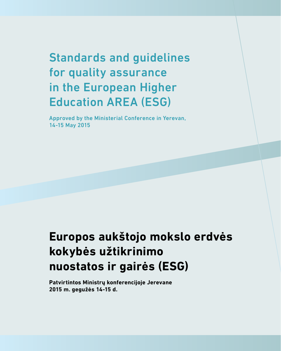Standards and guidelines for quality assurance in the European Higher Education AREA (ESG)

Approved by the Ministerial Conference in Yerevan, 14-15 May 2015

# **Europos aukštojo mokslo erdvės kokybės užtikrinimo nuostatos ir gairės (ESG)**

**Patvirtintos Ministrų konferencijoje Jerevane 2015 m. gegužės 14-15 d.**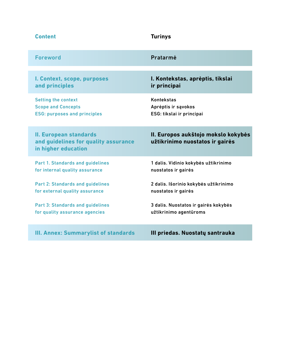| <b>Content</b>                                                                               | <b>Turinys</b>                                                         |
|----------------------------------------------------------------------------------------------|------------------------------------------------------------------------|
| <b>Foreword</b>                                                                              | Pratarmė                                                               |
| I. Context, scope, purposes                                                                  | I. Kontekstas, aprėptis, tikslai                                       |
| and principles                                                                               | ir principai                                                           |
| <b>Setting the context</b>                                                                   | <b>Kontekstas</b>                                                      |
| <b>Scope and Concepts</b>                                                                    | Aprėptis ir sąvokos                                                    |
| <b>ESG: purposes and principles</b>                                                          | ESG: tikslai ir principai                                              |
| <b>II. European standards</b><br>and guidelines for quality assurance<br>in higher education | II. Europos aukštojo mokslo kokybės<br>užtikrinimo nuostatos ir gairės |
| Part 1. Standards and guidelines                                                             | 1 dalis. Vidinio kokybės užtikrinimo                                   |
| for internal quality assurance                                                               | nuostatos ir gairės                                                    |
| <b>Part 2: Standards and guidelines</b>                                                      | 2 dalis. Išorinio kokybės užtikrinimo                                  |
| for external quality assurance                                                               | nuostatos ir gairės                                                    |
| <b>Part 3: Standards and guidelines</b>                                                      | 3 dalis. Nuostatos ir gairės kokybės                                   |
| for quality assurance agencies                                                               | užtikrinimo agentūroms                                                 |
| <b>III. Annex: Summarylist of standards</b>                                                  | III priedas. Nuostatų santrauka                                        |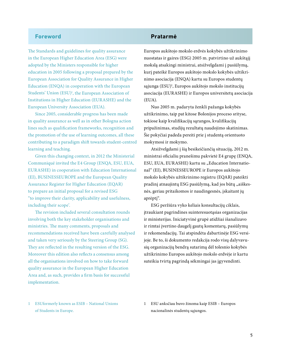### **Foreword**

The Standards and guidelines for quality assurance in the European Higher Education Area (ESG) were adopted by the Ministers responsible for higher education in 2005 following a proposal prepared by the European Association for Quality Assurance in Higher Education (ENQA) in cooperation with the European Students' Union (ESU)<sup>1</sup>, the European Association of Institutions in Higher Education (EURASHE) and the European University Association (EUA).

Since 2005, considerable progress has been made in quality assurance as well as in other Bologna action lines such as qualification frameworks, recognition and the promotion of the use of learning outcomes, all these contributing to a paradigm shift towards student-centred learning and teaching.

Given this changing context, in 2012 the Ministerial Communiqué invited the E4 Group (ENQA, ESU, EUA, EURASHE) in cooperation with Education International (EI), BUSINESSEUROPE and the European Quality Assurance Register for Higher Education (EQAR) to prepare an initial proposal for a revised ESG "to improve their clarity, applicability and usefulness, including their scope'.

The revision included several consultation rounds involving both the key stakeholder organisations and ministries. The many comments, proposals and recommendations received have been carefully analysed and taken very seriously by the Steering Group (SG). They are reflected in the resulting version of the ESG. Moreover this edition also reflects a consensus among all the organisations involved on how to take forward quality assurance in the European Higher Education Area and, as such, provides a firm basis for successful implementation.

### **Pratarmė**

Europos aukštojo mokslo erdvės kokybės užtikrinimo nuostatas ir gaires (ESG) 2005 m. patvirtino už aukštąjį mokslą atsakingi ministrai, atsižvelgdami į pasiūlymą, kurį pateikė Europos aukštojo mokslo kokybės užtikrinimo asociacija (ENQA) kartu su Europos studentų sąjunga (ESU)1 , Europos aukštojo mokslo institucijų asociacija (EURASHE) ir Europos universitetų asociacija (EUA).

Nuo 2005 m. padaryta ženkli pažanga kokybės užtikrinimo, taip pat kitose Bolonijos proceso srityse, tokiose kaip kvalifikacijų sąrangos, kvalifikacijų pripažinimas, studijų rezultatų naudojimo skatinimas. Šie pokyčiai padeda pereiti prie į studentą orientuoto mokymosi ir mokymo.

Atsižvelgdami į šią besikeičiančią situaciją, 2012 m. ministrai oficialiu pranešimu pakvietė E4 grupę (ENQA, ESU, EUA, EURASHE) kartu su "Education International" (EI), BUSINESSEUROPE ir Europos aukštojo mokslo kokybės užtikrinimo registru (EQAR) pateikti pradinį atnaujintų ESG pasiūlymą, kad jos būtų "aiškesnės, geriau pritaikomos ir naudingesnės, įskaitant jų aprėptį".

ESG peržiūra vyko keliais konsultacijų ciklais, įtraukiant pagrindines suinteresuotąsias organizacijas ir ministerijas. Iniciatyvinė grupė atidžiai išanalizavo ir rimtai įvertino daugelį gautų komentarų, pasiūlymų ir rekomendacijų. Tai atspindėta dabartinėje ESG versijoje. Be to, ši dokumento redakcija rodo visų dalyvavusių organizacijų bendrą sutarimą dėl tolesnio kokybės užtikrinimo Europos aukštojo mokslo erdvėje ir kartu suteikia tvirtą pagrindą sėkmingai jas įgyvendinti.

- 1 ESUformerly known as ESIB National Unions of Students in Europe.
- 1 ESU anksčiau buvo žinoma kaip ESIB Europos nacionalinės studentų sąjungos.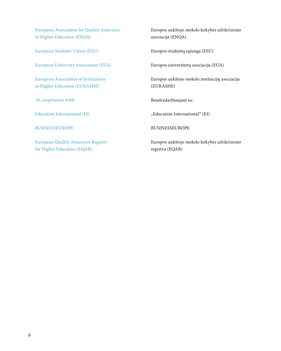European Association for Quality Assurance in Higher Education (ENQA)

European Students' Union (ESU)

European University Association (EUA)

European Association of Institutions in Higher Education (EURASHE)

In cooperation with:

Education International (EI)

BUSINESSEUROPE

European Quality Assurance Register for Higher Education (EQAR)

Europos aukštojo mokslo kokybės užtikrinimo asociacija (ENQA)

Europos studentų sąjunga (ESU)

Europos universitetų asociacija (EUA)

Europos aukštojo mokslo institucijų asociacija (EURASHE)

Bendradarbiaujant su:

"Education International" (EI)

BUSINESSEUROPE

Europos aukštojo mokslo kokybės užtikrinimo registru (EQAR)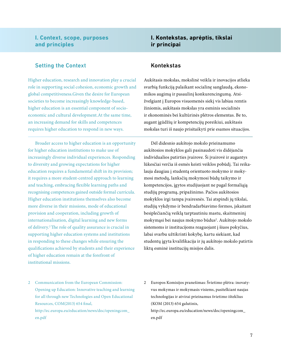### **I. Context, scope, purposes and principles**

### Setting the Context

Higher education, research and innovation play a crucial role in supporting social cohesion, economic growth and global competitiveness.Given the desire for European societies to become increasingly knowledge-based, higher education is an essential component of socioeconomic and cultural development.At the same time, an increasing demand for skills and competences requires higher education to respond in new ways.

Broader access to higher education is an opportunity for higher education institutions to make use of increasingly diverse individual experiences. Responding to diversity and growing expectations for higher education requires a fundamental shift in its provision; it requires a more student-centred approach to learning and teaching, embracing flexible learning paths and recognising competences gained outside formal curricula. Higher education institutions themselves also become more diverse in their missions, mode of educational provision and cooperation, including growth of internationalisation, digital learning and new forms of delivery.2 The role of quality assurance is crucial in supporting higher education systems and institutions in responding to these changes while ensuring the qualifications achieved by students and their experience of higher education remain at the forefront of institutional missions.

### **I. Kontekstas, aprėptis, tikslai ir principai**

### Kontekstas

Aukštasis mokslas, mokslinė veikla ir inovacijos atlieka svarbią funkciją palaikant socialinę sanglaudą, ekonomikos augimą ir pasaulinį konkurencingumą. Atsižvelgiant į Europos visuomenės siekį vis labiau remtis žiniomis, aukštasis mokslas yra esminis socialinės ir ekonominės bei kultūrinės plėtros elementas. Be to, augant įgūdžių ir kompetencijų poreikiui, aukštasis mokslas turi iš naujo prisitaikyti prie esamos situacijos.

Dėl didesnio aukštojo mokslo prieinamumo aukštosios mokyklos gali pasinaudoti vis didėjančia individualios patirties įvairove. Ši įvairovė ir augantys lūkesčiai verčia iš esmės keisti veiklos pobūdį. Tai reikalauja daugiau į studentą orientuoto mokymo ir mokymosi metodų, lanksčių mokymosi būdų taikymo ir kompetencijos, įgytos studijuojant ne pagal formaliąją studijų programą, pripažinimo. Pačios aukštosios mokyklos irgi tampa įvairesnės. Tai atspindi jų tikslai, studijų vykdymo ir bendradarbiavimo formos, įskaitant besiplečiančią veiklą tarptautiniu mastu, skaitmeninį mokymąsi bei naujus mokymo būdus<sup>2</sup>. Aukštojo mokslo sistemoms ir institucijoms reaguojant į šiuos pokyčius, labai svarbu užtikrinti kokybę, kartu siekiant, kad studentų įgyta kvalifikacija ir jų aukštojo mokslo patirtis liktų esminė institucijų misijos dalis.

2 Communication from the European Commission: Opening up Education: Innovative teaching and learning for all through new Technologies and Open Educational Resources, COM(2013) 654 final,

http://ec.europa.eu/education/news/doc/openingcom\_ en.pdf

2 Europos Komisijos pranešimas: Švietimo plėtra: inovatyvus mokymas ir mokymasis visiems, pasitelkiant naujas technologijas ir atvirai prieinamus švietimo išteklius (KOM (2013) 654 galutinis,

http://ec.europa.eu/education/news/doc/openingcom\_ en.pdf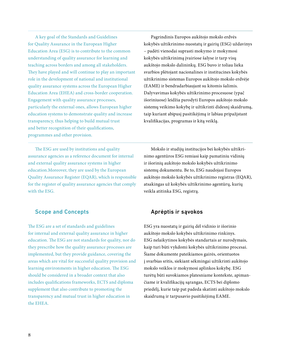A key goal of the Standards and Guidelines for Quality Assurance in the European Higher Education Area (ESG) is to contribute to the common understanding of quality assurance for learning and teaching across borders and among all stakeholders. They have played and will continue to play an important role in the development of national and institutional quality assurance systems across the European Higher Education Area (EHEA) and cross-border cooperation. Engagement with quality assurance processes, particularly the external ones, allows European higher education systems to demonstrate quality and increase transparency, thus helping to build mutual trust and better recognition of their qualifications, programmes and other provision.

Pagrindinis Europos aukštojo mokslo erdvės kokybės užtikrinimo nuostatų ir gairių (ESG) uždavinys – padėti vienodai suprasti mokymo ir mokymosi kokybės užtikrinimą įvairiose šalyse ir tarp visų aukštojo mokslo dalininkų. ESG buvo ir toliau lieka svarbios plėtojant nacionalines ir institucines kokybės užtikrinimo sistemas Europos aukštojo mokslo erdvėje (EAME) ir bendradarbiaujant su kitomis šalimis. Dalyvavimas kokybės užtikrinimo procesuose (ypač išoriniuose) leidžia parodyti Europos aukštojo mokslo sistemų veikimo kokybę ir užtikrinti didesnį skaidrumą, taip kuriant abipusį pasitikėjimą ir labiau pripažįstant kvalifikacijas, programas ir kitą veiklą.

The ESG are used by institutions and quality assurance agencies as a reference document for internal and external quality assurance systems in higher education.Moreover, they are used by the European Quality Assurance Register (EQAR), which is responsible for the register of quality assurance agencies that comply with the ESG.

### Scope and Concepts

The ESG are a set of standards and guidelines for internal and external quality assurance in higher education. The ESG are not standards for quality, nor do they prescribe how the quality assurance processes are implemented, but they provide guidance, covering the areas which are vital for successful quality provision and learning environments in higher education. The ESG should be considered in a broader context that also includes qualifications frameworks, ECTS and diploma supplement that also contribute to promoting the transparency and mutual trust in higher education in the EHEA.

Mokslo ir studijų institucijos bei kokybės užtikrinimo agentūros ESG remiasi kaip pamatiniu vidinių ir išorinių aukštojo mokslo kokybės užtikrinimo sistemų dokumentu. Be to, ESG naudojasi Europos aukštojo mokslo kokybės užtikrinimo registras (EQAR), atsakingas už kokybės užtikrinimo agentūrų, kurių veikla atitinka ESG, registrą.

### Aprėptis ir sąvokos

ESG yra nuostatų ir gairių dėl vidinio ir išorinio aukštojo mokslo kokybės užtikrinimo rinkinys. ESG nelaikytinos kokybės standartais ar nurodymais, kaip turi būti vykdomi kokybės užtikrinimo procesai. Šiame dokumente pateikiamos gairės, orientuotos į svarbias sritis, siekiant sėkmingai užtikrinti aukštojo mokslo veiklos ir mokymosi aplinkos kokybę. ESG turėtų būti suvokiamos platesniame kontekste, apimančiame ir kvalifikacijų sąrangas, ECTS bei diplomo priedėlį, kurie taip pat padeda skatinti aukštojo mokslo skaidrumą ir tarpusavio pasitikėjimą EAME.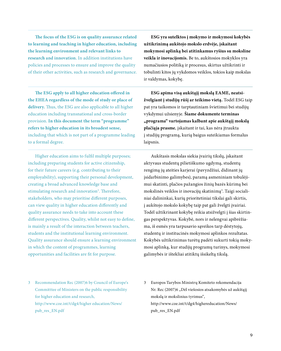**The focus of the ESG is on quality assurance related to learning and teaching in higher education, including the learning environment and relevant links to research and innovation.** In addition institutions have policies and processes to ensure and improve the quality of their other activities, such as research and governance.

**The ESG apply to all higher education offered in the EHEA regardless of the mode of study or place of delivery.** Thus, the ESG are also applicable to all higher education including transnational and cross-border provision. **In this document the term "programme" refers to higher education in its broadest sense,** including that which is not part of a programme leading to a formal degree.

Higher education aims to fulfil multiple purposes; including preparing students for active citizenship, for their future careers (e.g. contributing to their employability), supporting their personal development, creating a broad advanced knowledge base and stimulating research and innovation<sup>3</sup>. Therefore, stakeholders, who may prioritise different purposes, can view quality in higher education differently and quality assurance needs to take into account these different perspectives. Quality, whilst not easy to define, is mainly a result of the interaction between teachers, students and the institutional learning environment. Quality assurance should ensure a learning environment in which the content of programmes, learning opportunities and facilities are fit for purpose.

**ESG yra sutelktos į mokymo ir mokymosi kokybės užtikrinimą aukštojo mokslo erdvėje, įskaitant mokymosi aplinką bei atitinkamus ryšius su moksline veikla ir inovacijomis.** Be to, aukštosios mokyklos yra numačiusios politiką ir procesus, skirtus užtikrinti ir tobulinti kitos jų vykdomos veiklos, tokios kaip mokslas ir valdymas, kokybę.

**ESG apima visą aukštąjį mokslą EAME, neatsižvelgiant į studijų rūšį ar teikimo vietą.** Todėl ESG taip pat yra taikomos ir tarptautiniam švietimui bei studijų vykdymui užsienyje. **Šiame dokumente terminas "programa" vartojamas kalbant apie aukštąjį mokslą plačiąja prasme**, įskaitant ir tai, kas nėra įtraukta į studijų programą, kurią baigus suteikiamas formalus laipsnis.

Aukštasis mokslas siekia įvairių tikslų, įskaitant aktyvaus studentų pilietiškumo ugdymą, studentų rengimą jų ateities karjerai (pavyzdžiui, didinant jų įsidarbinimo galimybes), paramą asmeniniam tobulėjimui skatinti, plačios pažangios žinių bazės kūrimą bei mokslinės veiklos ir inovacijų skatinimą<sup>3</sup>. Taigi socialiniai dalininkai, kurių prioritetiniai tikslai gali skirtis, į aukštojo mokslo kokybę taip pat gali žvelgti įvairiai. Todėl užtikrinant kokybę reikia atsižvelgti į šias skirtingas perspektyvas. Kokybė, nors ir nelengvai apibrėžiama, iš esmės yra tarpusavio sąveikos tarp dėstytojų, studentų ir institucinės mokymosi aplinkos rezultatas. Kokybės užtikrinimas turėtų padėti sukurti tokią mokymosi aplinką, kur studijų programų turinys, mokymosi galimybės ir ištekliai atitiktų išsikeltą tikslą.

- 3 Recommendation Rec (2007)6 by Council of Europe's Committtee of Ministers on the public responsibility for higher education and research,
	- http://www.coe.int/t/dg4/higher education/News/ pub\_res\_EN.pdf
- 3 Europos Tarybos Ministrų Komiteto rekomendacija Nr. Rec (2007)6 "Dėl viešosios atsakomybės už aukštąjį mokslą ir mokslinius tyrimus", http://www.coe.int/t/dg4/highereducation/News/ pub\_res\_EN.pdf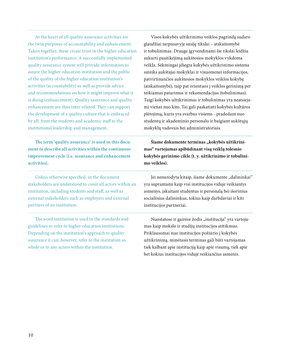At the heart of all quality assurance activities are the twin purposes of accountability and enhancement. Taken together, these create trust in the higher education institution's performance. A successfully implemented quality assurance system will provide information to assure the higher education institution and the public of the quality of the higher education institution's activities (accountability) as well as provide advice and recommendations on how it might improve what it is doing (enhancement). Quality assurance and quality enhancement are thus inter-related. They can support the development of a quality culture that is embraced by all: from the students and academic staff to the institutional leadership and management.

**The term 'quality assurance' is used in this document to describe all activities within the continuous improvement cycle (i.e. assurance and enhancement activities).**

Unless otherwise specified, in the document stakeholders are understood to cover all actors within an institution, including students and staff, as well as external stakeholders such as employers and external partners of an institution.

The word institution is used in the standards and guidelines to refer to higher education institutions. Depending on the institution's approach to quality assurance it can, however, refer to the institution as whole or to any actors within the institution.

Visos kokybės užtikrinimo veiklos pagrindą sudaro glaudžiai tarpusavyje susiję tikslai – atskaitomybė ir tobulinimas. Drauge įgyvendinami šie tikslai leidžia sukurti pasitikėjimą aukštosios mokyklos vykdoma veikla. Sėkmingai įdiegta kokybės užtikrinimo sistema suteiks aukštajai mokyklai ir visuomenei informacijos, patvirtinančios aukštosios mokyklos veiklos kokybę (atskaitomybė), taip pat orientuos į veiklos gerinimą per teikiamus patarimus ir rekomendacijas (tobulinimas). Taigi kokybės užtikrinimas ir tobulinimas yra neatsiejami vienas nuo kito. Tai gali paskatinti kokybės kultūros plėtojimą, kuris yra svarbus visiems - pradedant nuo studentų ir akademinio personalo ir baigiant aukštųjų mokyklų vadovais bei administratoriais.

Šiame dokumente terminas "kokybės užtikrini**mas" vartojamas apibūdinant visą veiklą tolesnio kokybės gerinimo cikle (t. y. užtikrinimo ir tobulinimo veiklos).** 

Jei nenurodyta kitaip, šiame dokumente "dalininkai" yra suprantami kaip visi institucijos viduje veikiantys asmenys, įskaitant studentus ir personalą bei išorinius socialinius dalininkus, tokius kaip darbdaviai ir kiti institucijos partneriai.

Nuostatose ir gairėse žodis "institucija" yra vartojamas kaip mokslo ir studijų institucijos atitikmuo. Priklausomai nuo institucijos požiūrio į kokybės užtikrinimą, minėtasis terminas gali būti vartojamas tiek kalbant apie instituciją kaip apie visumą, tiek apie bet kokius institucijos viduje veikiančius asmenis.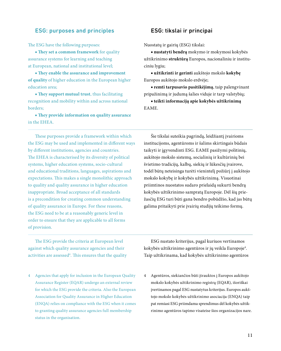### ESG: purposes and principles

The ESG have the following purposes:

■ **They set a common framework** for quality assurance systems for learning and teaching at European, national and institutional level;

■ **They enable the assurance and improvement of quality** of higher education in the European higher education area;

■ **They support mutual trust**, thus facilitating recognition and mobility within and across national borders;

■ **They provide information on quality assurance**  in the EHEA.

These purposes provide a framework within which the ESG may be used and implemented in different ways by different institutions, agencies and countries. The EHEA is characterised by its diversity of political systems, higher education systems, socio-cultural and educational traditions, languages, aspirations and expectations. This makes a single monolithic approach to quality and quality assurance in higher education inappropriate. Broad acceptance of all standards is a precondition for creating common understanding of quality assurance in Europe. For these reasons, the ESG need to be at a reasonably generic level in order to ensure that they are applicable to all forms of provision.

ESG: tikslai ir principai

Nuostatų ir gairių (ESG) tikslai:

**■ nustatyti bendrą** mokymo ir mokymosi kokybės užtikrinimo **struktūrą** Europos, nacionaliniu ir instituciniu lygiu;

**■ užtikrinti ir gerinti** aukštojo mokslo **kokybę** Europos aukštojo mokslo erdvėje;

**■ remti tarpusavio pasitikėjimą**, taip palengvinant pripažinimą ir judumą šalies viduje ir tarp valstybių;

**■ teikti informaciją apie kokybės užtikrinimą**  EAME.

Šie tikslai suteikia pagrindą, leidžiantį įvairioms institucijoms, agentūroms ir šalims skirtingais būdais taikyti ir įgyvendinti ESG. EAME pasižymi politinių, aukštojo mokslo sistemų, socialinių ir kultūrinių bei švietimo tradicijų, kalbų, siekių ir lūkesčių įvairove, todėl būtų neteisinga turėti vienintelį požiūrį į aukštojo mokslo kokybę ir kokybės užtikrinimą. Visuotinai priimtinos nuostatos sudaro prielaidą sukurti bendrą kokybės užtikrinimo sampratą Europoje. Dėl šių priežasčių ESG turi būti gana bendro pobūdžio, kad jas būtų galima pritaikyti prie įvairių studijų teikimo formų.

The ESG provide the criteria at European level against which quality assurance agencies and their activities are assessed<sup>4</sup>. This ensures that the quality

4 Agencies that apply for inclusion in the European Quality Assurance Register (EQAR) undergo an external review for which the ESG provide the criteria. Also the European Association for Quality Assurance in Higher Education (ENQA) relies on compliance with the ESG when it comes to granting quality assurance agencies full membership status in the organisation.

ESG nustato kriterijus, pagal kuriuos vertinamos kokybės užtikrinimo agentūros ir jų veikla Europoje4 . Taip užtikrinama, kad kokybės užtikrinimo agentūros

4 Agentūros, siekiančios būti įtrauktos į Europos aukštojo mokslo kokybės užtikrinimo registrą (EQAR), išoriškai įvertinamos pagal ESG nustatytus kriterijus. Europos aukštojo mokslo kokybės užtikrinimo asociacija (ENQA) taip pat remiasi ESG priimdama sprendimus dėl kokybės užtikrinimo agentūros tapimo visateise šios organizacijos nare.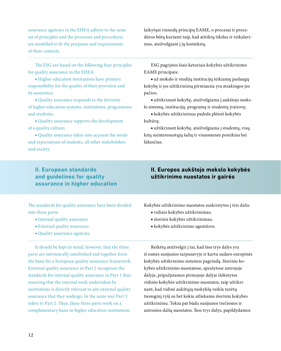assurance agencies in the EHEA adhere to the same set of principles and the processes and procedures are modelled to fit the purposes and requirements of their contexts.

The ESG are based on the following four principles for quality assurance in the EHEA:

■ Higher education institutions have primary responsibility for the quality of their provision and its assurance;

■ Quality assurance responds to the diversity of higher education systems, institutions, programmes and students;

■ Quality assurance supports the development of a quality culture;

■ Quality assurance takes into account the needs and expectations of students, all other stakeholders and society.

**II. European standards and guidelines for quality assurance in higher education** 

The standards for quality assurance have been divided into three parts:

- Internal quality assurance
- External quality assurance
- Quality assurance agencies

It should be kept in mind, however, that the three parts are intrinsically interlinked and together form the basis for a European quality assurance framework. External quality assurance in Part 2 recognises the standards for internal quality assurance in Part 1 thus ensuring that the internal work undertaken by institutions is directly relevant to any external quality assurance that they undergo. In the same way Part 3 refers to Part 2. Thus, these three parts work on a complementary basis in higher education institutions

laikytųsi vienodų principų EAME, o procesai ir procedūros būtų kuriami taip, kad atitiktų tikslus ir reikalavimus, atsižvelgiant į jų kontekstą.

ESG pagrįstos šiais keturiais kokybės užtikrinimo EAME principais:

**■** už mokslo ir studijų institucijų teikiamų paslaugų kokybę ir jos užtikrinimą pirmiausia yra atsakingos jos pačios;

**■** užtikrinant kokybę, atsižvelgiama į aukštojo mokslo sistemų, institucijų, programų ir studentų įvairovę;

**■** kokybės užtikrinimas padeda plėtoti kokybės kultūrą;

**■** užtikrinant kokybę, atsižvelgiama į studentų, visų kitų suinteresuotųjų šalių ir visuomenės poreikius bei lūkesčius.

### **II. Europos aukštojo mokslo kokybės užtikrinimo nuostatos ir gairės**

Kokybės užtikrinimo nuostatos suskirstytos į tris dalis:

- vidinis kokybės užtikrinimas;
- išorinis kokybės užtikrinimas;
- kokybės užtikrinimo agentūros.

Reikėtų atsižvelgti į tai, kad šios trys dalys yra iš esmės susijusios tarpusavyje ir kartu sudaro europinės kokybės užtikrinimo sistemos pagrindą. Išorinio kokybės užtikrinimo nuostatose, aprašytose antrojoje dalyje, pripažįstamos pirmojoje dalyje išdėstytos vidinio kokybės užtikrinimo nuostatos, taip užtikrinant, kad vidinė aukštųjų mokyklų veikla turėtų tiesioginį ryšį su bet kokiu atliekamu išoriniu kokybės užtikrinimu. Tokiu pat būdu susijusios trečiosios ir antrosios dalių nuostatos. Šios trys dalys, papildydamos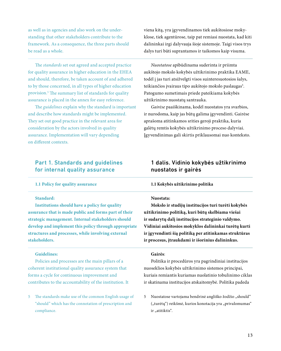as well as in agencies and also work on the understanding that other stakeholders contribute to the framework. As a consequence, the three parts should be read as a whole.

The *standards* set out agreed and accepted practice for quality assurance in higher education in the EHEA and should, therefore, be taken account of and adhered to by those concerned, in all types of higher education provision.5 The summary list of standards for quality assurance is placed in the annex for easy reference.

The *guidelines* explain why the standard is important and describe how standards might be implemented. They set out good practice in the relevant area for consideration by the actors involved in quality assurance. Implementation will vary depending on different contexts.

### Part 1. Standards and guidelines for internal quality assurance

#### **1.1 Policy for quality assurance**

### **Standard:**

**Institutions should have a policy for quality assurance that is made public and forms part of their strategic management. Internal stakeholders should develop and implement this policy through appropriate structures and processes, while involving external stakeholders.**

#### **Guidelines:**

Policies and processes are the main pillars of a coherent institutional quality assurance system that forms a cycle for continuous improvement and contributes to the accountability of the institution. It

5 The standards make use of the common English usage of "should" which has the connotation of prescription and compliance.

viena kitą, yra įgyvendinamos tiek aukštosiose mokyklose, tiek agentūrose, taip pat remiasi nuostata, kad kiti dalininkai irgi dalyvauja šioje sistemoje. Taigi visos trys dalys turi būti suprantamos ir taikomos kaip visuma.

*Nuostatose* apibūdinama suderinta ir priimta aukštojo mokslo kokybės užtikrinimo praktika EAME, todėl į jas turi atsižvelgti visos suinteresuotosios šalys, teikiančios įvairaus tipo aukštojo mokslo paslaugas<sup>5</sup>. Patogumo sumetimais priede pateikiama kokybės užtikrinimo nuostatų santrauka.

*Gairėse* paaiškinama, kodėl nuostatos yra svarbios, ir nurodoma, kaip jas būtų galima įgyvendinti. Gairėse aprašoma atitinkamos srities geroji praktika, kuria galėtų remtis kokybės užtikrinimo proceso dalyviai. Įgyvendinimas gali skirtis priklausomai nuo konteksto.

### 1 dalis. Vidinio kokybės užtikrinimo nuostatos ir gairės

#### **1.1 Kokybės užtikrinimo politika**

#### **Nuostata:**

**Mokslo ir studijų institucijos turi turėti kokybės užtikrinimo politiką, kuri būtų skelbiama viešai ir sudarytų dalį institucijos strateginio valdymo. Vidiniai aukštosios mokyklos dalininkai turėtų kurti ir įgyvendinti šią politiką per atitinkamas struktūras ir procesus, įtraukdami ir išorinius dalininkus.**

#### **Gairės**:

Politika ir procedūros yra pagrindiniai institucijos nuoseklios kokybės užtikrinimo sistemos principai, kuriais remiantis kuriamas nuolatinio tobulinimo ciklas ir skatinama institucijos atskaitomybė. Politika padeda

5 Nuostatose vartojama bendrinė angliško žodžio "should" ("turėtų") reikšmė, kurios konotacija yra "privalomumas" ir "atitiktis".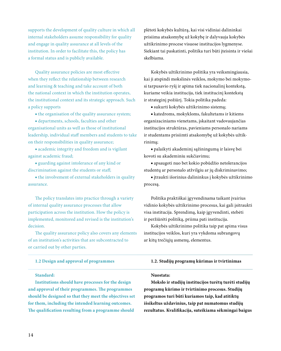supports the development of quality culture in which all internal stakeholders assume responsibility for quality and engage in quality assurance at all levels of the institution. In order to facilitate this, the policy has a formal status and is publicly available.

Quality assurance policies are most effective when they reflect the relationship between research and learning & teaching and take account of both the national context in which the institution operates, the institutional context and its strategic approach. Such a policy supports

■ the organisation of the quality assurance system;

■ departments, schools, faculties and other organisational units as well as those of institutional leadership, individual staff members and students to take on their responsibilities in quality assurance;

■ academic integrity and freedom and is vigilant against academic fraud;

■ guarding against intolerance of any kind or discrimination against the students or staff;

■ the involvement of external stakeholders in quality assurance.

The policy translates into practice through a variety of internal quality assurance processes that allow participation across the institution. How the policy is implemented, monitored and revised is the institution's decision.

The quality assurance policy also covers any elements of an institution's activities that are subcontracted to or carried out by other parties.

#### **1.2 Design and approval of programmes**

#### **Standard:**

**Institutions should have processes for the design and approval of their programmes. The programmes should be designed so that they meet the objectives set for them, including the intended learning outcomes. The qualification resulting from a programme should** 

plėtoti kokybės kultūrą, kai visi vidiniai dalininkai prisiima atsakomybę už kokybę ir dalyvauja kokybės užtikrinimo procese visuose institucijos lygmenyse. Siekiant tai paskatinti, politika turi būti įteisinta ir viešai skelbiama.

Kokybės užtikrinimo politika yra veiksmingiausia, kai ji atspindi mokslinės veiklos, mokymo bei mokymosi tarpusavio ryšį ir apima tiek nacionalinį kontekstą, kuriame veikia institucija, tiek institucinį kontekstą ir strateginį požiūrį. Tokia politika padeda:

**■** sukurti kokybės užtikrinimo sistemą;

**■** katedroms, mokykloms, fakultetams ir kitiems organizaciniams vienetams, įskaitant vadovaujančias institucijos struktūras, pavieniams personalo nariams ir studentams prisiimti atsakomybę už kokybės užtikrinimą;

**■** palaikyti akademinį sąžiningumą ir laisvę bei kovoti su akademiniu sukčiavimu;

**■** apsaugoti nuo bet kokio pobūdžio netolerancijos studentų ar personalo atžvilgiu ar jų diskriminavimo;

**■** įtraukti išorinius dalininkus į kokybės užtikrinimo procesą.

Politika praktiškai įgyvendinama taikant įvairius vidinio kokybės užtikrinimo procesus, kai gali įsitraukti visa institucija. Sprendimą, kaip įgyvendinti, stebėti ir peržiūrėti politiką, priima pati institucija.

Kokybės užtikrinimo politika taip pat apima visus institucijos veiklos, kuri yra vykdoma subrangovų ar kitų trečiųjų asmenų, elementus.

#### **1.2. Studijų programų kūrimas ir tvirtinimas**

#### **Nuostata:**

**Mokslo ir studijų institucijos turėtų turėti studijų programų kūrimo ir tvirtinimo procesus. Studijų programos turi būti kuriamos taip, kad atitiktų išsikeltus uždavinius, taip pat numatomus studijų rezultatus. Kvalifikacija, suteikiama sėkmingai baigus**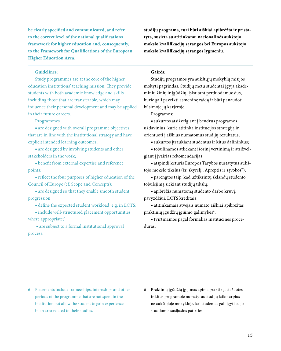**be clearly specified and communicated, and refer to the correct level of the national qualifications framework for higher education and, consequently, to the Framework for Qualifications of the European Higher Education Area.**

#### **Guidelines:**

Study programmes are at the core of the higher education institutions' teaching mission. They provide students with both academic knowledge and skills including those that are transferable, which may influence their personal development and may be applied in their future careers.

Programmes

■ are designed with overall programme objectives that are in line with the institutional strategy and have explicit intended learning outcomes;

■ are designed by involving students and other stakeholders in the work;

■ benefit from external expertise and reference points;

■ reflect the four purposes of higher education of the Council of Europe (cf. Scope and Concepts);

■ are designed so that they enable smooth student progression;

■ define the expected student workload, e.g. in ECTS;

■ include well-structured placement opportunities where appropriate;<sup>6</sup>

 ■ are subject to a formal institutional approval process.

**studijų programą, turi būti aiškiai apibrėžta ir pristatyta, susieta su atitinkamu nacionalinės aukštojo mokslo kvalifikacijų sąrangos bei Europos aukštojo mokslo kvalifikacijų sąrangos lygmeniu.**

#### **Gairės**:

Studijų programos yra aukštųjų mokyklų misijos mokyti pagrindas. Studijų metu studentai įgyja akademinių žinių ir įgūdžių, įskaitant perduodamuosius, kurie gali paveikti asmeninę raidą ir būti panaudoti būsimoje jų karjeroje.

Programos:

**■** sukurtos atsižvelgiant į bendrus programos uždavinius, kurie atitinka institucijos strategiją ir orientuoti į aiškius numatomus studijų rezultatus;

**■** sukurtos įtraukiant studentus ir kitus dalininkus;

**■** tobulinamos atliekant išorinį vertinimą ir atsižvelgiant į įvairias rekomendacijas;

**■** atspindi keturis Europos Tarybos nustatytus aukštojo mokslo tikslus (žr. skyrelį "Aprėptis ir sąvokos");

**■** parengtos taip, kad užtikrintų sklandų studento tobulėjimą siekiant studijų tikslų;

**■** apibrėžia numatomą studento darbo krūvį, pavyzdžiui, ECTS kreditais;

**■** atitinkamais atvejais numato aiškiai apibrėžtas praktinių įgūdžių įgijimo galimybes';

**■** tvirtinamos pagal formalias institucines procedūras.

6 Placements include traineeships, internships and other periods of the programme that are not spent in the institution but allow the student to gain experience in an area related to their studies.

6 Praktinių įgūdžių įgijimas apima praktiką, stažuotes ir kitus programoje numatytus studijų laikotarpius ne aukštojoje mokykloje, kai studentas gali įgyti su jo studijomis susijusios patirties.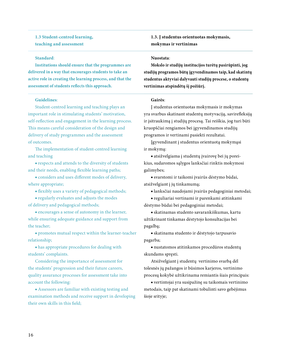**1.3 Student-centred learning, teaching and assessment** 

#### **Standard**:

**Institutions should ensure that the programmes are delivered in a way that encourages students to take an active role in creating the learning process, and that the assessment of students reflects this approach.** 

#### **Guidelines**:

Student-centred learning and teaching plays an important role in stimulating students' motivation, self-reflection and engagement in the learning process. This means careful consideration of the design and delivery of study programmes and the assessment of outcomes.

The implementation of student-centred learning and teaching

■ respects and attends to the diversity of students and their needs, enabling flexible learning paths;

■ considers and uses different modes of delivery, where appropriate;

■ flexibly uses a variety of pedagogical methods;

■ regularly evaluates and adjusts the modes of delivery and pedagogical methods;

■ encourages a sense of autonomy in the learner, while ensuring adequate guidance and support from the teacher;

■ promotes mutual respect within the learner-teacher relationship;

■ has appropriate procedures for dealing with students' complaints.

Considering the importance of assessment for the students' progression and their future careers, quality assurance processes for assessment take into account the following:

■ Assessors are familiar with existing testing and examination methods and receive support in developing their own skills in this field;

**1.3. Į studentus orientuotas mokymasis, mokymas ir vertinimas**

### **Nuostata**:

**Mokslo ir studijų institucijos turėtų pasirūpinti, jog studijų programos būtų įgyvendinamos taip, kad skatintų studentus aktyviai dalyvauti studijų procese, o studentų vertinimas atspindėtų šį požiūrį.**

#### **Gairės**:

Į studentus orientuotas mokymasis ir mokymas yra svarbus skatinant studentų motyvaciją, savirefleksiją ir įsitraukimą į studijų procesą. Tai reiškia, jog turi būti kruopščiai rengiamos bei įgyvendinamos studijų programos ir vertinami pasiekti rezultatai.

Įgyvendinant į studentus orientuotą mokymąsi ir mokymą:

**■** atsižvelgiama į studentų įvairovę bei jų poreikius, sudaromos sąlygos lanksčiai rinktis mokymosi galimybes;

**■** svarstomi ir taikomi įvairūs dėstymo būdai, atsižvelgiant į jų tinkamumą;

**■** lanksčiai naudojami įvairūs pedagoginiai metodai;

**■** reguliariai vertinami ir parenkami atitinkami dėstymo būdai bei pedagoginiai metodai;

**■** skatinamas studento savarankiškumas, kartu užtikrinant tinkamas dėstytojo konsultacijas bei pagalbą;

**■** skatinama studento ir dėstytojo tarpusavio pagarba;

**■** nustatomos atitinkamos procedūros studentų skundams spręsti.

Atsižvelgiant į studentų vertinimo svarbą dėl tolesnės jų pažangos ir būsimos karjeros, vertinimo procesų kokybė užtikrinama remiantis šiais principais:

**■** vertintojai yra susipažinę su taikomais vertinimo metodais, taip pat skatinami tobulinti savo gebėjimus šioje srityje;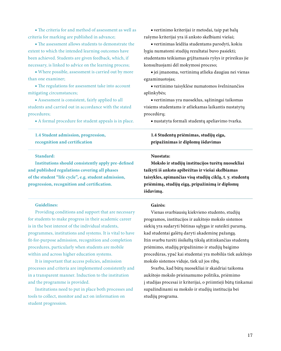■ The criteria for and method of assessment as well as criteria for marking are published in advance;

■ The assessment allows students to demonstrate the extent to which the intended learning outcomes have been achieved. Students are given feedback, which, if necessary, is linked to advice on the learning process;

■ Where possible, assessment is carried out by more than one examiner;

■ The regulations for assessment take into account mitigating circumstances;

■ Assessment is consistent, fairly applied to all students and carried out in accordance with the stated procedures;

■ A formal procedure for student appeals is in place.

### **1.4 Student admission, progression, recognition and certification**

#### **Standard:**

**Institutions should consistently apply pre-defined and published regulations covering all phases of the student "life cycle", e.g. student admission, progression, recognition and certification.**

#### **Guidelines:**

Providing conditions and support that are necessary for students to make progress in their academic career is in the best interest of the individual students, programmes, institutions and systems. It is vital to have fit-for-purpose admission, recognition and completion procedures, particularly when students are mobile within and across higher education systems.

It is important that access policies, admission processes and criteria are implemented consistently and in a transparent manner. Induction to the institution and the programme is provided.

Institutions need to put in place both processes and tools to collect, monitor and act on information on student progression.

**■** vertinimo kriterijai ir metodai, taip pat balų rašymo kriterijai yra iš anksto skelbiami viešai;

**■** vertinimas leidžia studentams parodyti, kokiu lygiu numatomi studijų rezultatai buvo pasiekti; studentams teikiamas grįžtamasis ryšys ir prireikus jie konsultuojami dėl mokymosi proceso;

**■** jei įmanoma, vertinimą atlieka daugiau nei vienas egzaminuotojas;

**■** vertinimo taisyklėse numatomos švelninančios aplinkybės;

**■** vertinimas yra nuoseklus, sąžiningai taikomas visiems studentams ir atliekamas laikantis nustatytų procedūrų;

**■** nustatyta formali studentų apeliavimo tvarka.

### **1.4 Studentų priėmimas, studijų eiga, pripažinimas ir diplomų išdavimas**

#### **Nuostata:**

**Mokslo ir studijų institucijos turėtų nuosekliai taikyti iš anksto apibrėžtas ir viešai skelbiamas taisykles, apimančias visą studijų ciklą, t. y. studentų priėmimą, studijų eigą, pripažinimą ir diplomų išdavimą.**

#### **Gairės:**

Vienas svarbiausių kiekvieno studento, studijų programos, institucijos ir aukštojo mokslo sistemos siekių yra sudaryti būtinas sąlygas ir suteikti paramą, kad studentai galėtų daryti akademinę pažangą. Itin svarbu turėti išsikeltą tikslą atitinkančias studentų priėmimo, studijų pripažinimo ir studijų baigimo procedūras, ypač kai studentai yra mobilūs tiek aukštojo mokslo sistemos viduje, tiek už jos ribų.

Svarbu, kad būtų nuosekliai ir skaidriai taikoma aukštojo mokslo prieinamumo politika, priėmimo į studijas procesai ir kriterijai, o priimtieji būtų tinkamai supažindinami su mokslo ir studijų institucija bei studijų programa.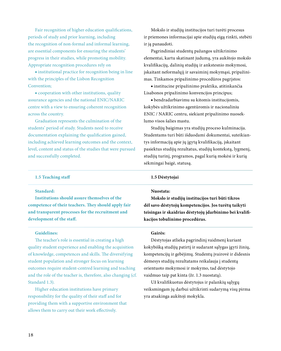Fair recognition of higher education qualifications, periods of study and prior learning, including the recognition of non-formal and informal learning, are essential components for ensuring the students' progress in their studies, while promoting mobility. Appropriate recognition procedures rely on

■ institutional practice for recognition being in line with the principles of the Lisbon Recognition Convention;

■ cooperation with other institutions, quality assurance agencies and the national ENIC/NARIC centre with a view to ensuring coherent recognition across the country.

Graduation represents the culmination of the students' period of study. Students need to receive documentation explaining the qualification gained, including achieved learning outcomes and the context, level, content and status of the studies that were pursued and successfully completed.

### Mokslo ir studijų institucijos turi turėti procesus ir priemones informacijai apie studijų eigą rinkti, stebėti ir ją panaudoti.

Pagrindiniai studentų pažangos užtikrinimo elementai, kartu skatinant judumą, yra aukštojo mokslo kvalifikacijų, dalinių studijų ir ankstesnio mokymosi, įskaitant neformalųjį ir savaiminį mokymąsi, pripažinimas. Tinkamos pripažinimo procedūros pagrįstos:

**■** institucine pripažinimo praktika, atitinkančia Lisabonos pripažinimo konvencijos principus;

**■** bendradarbiavimu su kitomis institucijomis, kokybės užtikrinimo agentūromis ir nacionaliniu ENIC / NARIC centru, siekiant pripažinimo nuoseklumo visos šalies mastu.

Studijų baigimas yra studijų proceso kulminacija. Studentams turi būti išduodami dokumentai, suteikiantys informaciją apie jų įgytą kvalifikaciją, įskaitant pasiektus studijų rezultatus, studijų kontekstą, lygmenį, studijų turinį, programos, pagal kurią mokėsi ir kurią sėkmingai baigė, statusą.

#### **1.5 Teaching staff**

#### **Standard:**

**Institutions should assure themselves of the competence of their teachers. They should apply fair and transparent processes for the recruitment and development of the staff.**

#### **Guidelines:**

The teacher's role is essential in creating a high quality student experience and enabling the acquisition of knowledge, competences and skills. The diversifying student population and stronger focus on learning outcomes require student-centred learning and teaching and the role of the teacher is, therefore, also changing (cf. Standard 1.3).

Higher education institutions have primary responsibility for the quality of their staff and for providing them with a supportive environment that allows them to carry out their work effectively.

#### **1.5 Dėstytojai**

#### **Nuostata:**

**Mokslo ir studijų institucijos turi būti tikros dėl savo dėstytojų kompetencijos. Jos turėtų taikyti teisingas ir skaidrias dėstytojų įdarbinimo bei kvalifikacijos tobulinimo procedūras.**

#### **Gairės:**

Dėstytojas atlieka pagrindinį vaidmenį kuriant kokybišką studijų patirtį ir sudarant sąlygas įgyti žinių, kompetencijų ir gebėjimų. Studentų įvairovė ir didesnis dėmesys studijų rezultatams reikalauja į studentą orientuoto mokymosi ir mokymo, tad dėstytojo vaidmuo taip pat kinta (žr. 1.3 nuostatą).

Už kvalifikuotus dėstytojus ir palankių sąlygų veiksmingam jų darbui užtikrinti sudarymą visų pirma yra atsakinga aukštoji mokykla.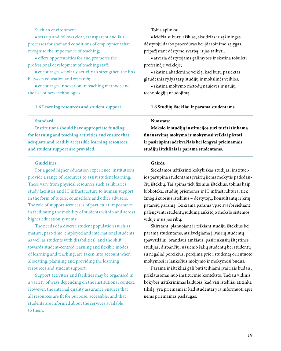### Such an environment

■ sets up and follows clear, transparent and fair processes for staff and conditions of employment that recognise the importance of teaching;

■ offers opportunities for and promotes the professional development of teaching staff;

■ encourages scholarly activity to strengthen the link between education and research;

■ encourages innovation in teaching methods and the use of new technologies.

#### **1.6 Learning resources and student support**

### Tokia aplinka:

**■** leidžia sukurti aiškias, skaidrias ir sąžiningas dėstytojų darbo procedūras bei įdarbinimo sąlygas, pripažįstant dėstymo svarbą, ir jas taikyti;

**■** atveria dėstytojams galimybes ir skatina tobulėti profesinėje veikloje;

**■** skatina akademinę veiklą, kad būtų pasiektas glaudesnis ryšys tarp studijų ir mokslinės veiklos;

**■** skatina mokymo metodų naujoves ir naujų technologijų naudojimą.

#### **1.6 Studijų ištekliai ir parama studentams**

#### **Standard:**

**Institutions should have appropriate funding for learning and teaching activities and ensure that adequate and readily accessible learning resources and student support are provided.**

#### **Guidelines**:

For a good higher education experience, institutions provide a range of resources to assist student learning. These vary from physical resources such as libraries, study facilities and IT infrastructure to human support in the form of tutors, counsellors and other advisers. The role of support services is of particular importance in facilitating the mobility of students within and across higher education systems.

The needs of a diverse student population (such as mature, part-time, employed and international students as well as students with disabilities), and the shift towards student-centred learning and flexible modes of learning and teaching, are taken into account when allocating, planning and providing the learning resources and student support.

Support activities and facilities may be organised in a variety of ways depending on the institutional context. However, the internal quality assurance ensures that all resources are fit for purpose, accessible, and that students are informed about the services available to them.

#### **Nuostata:**

**Mokslo ir studijų institucijos turi turėti tinkamą finansavimą mokymo ir mokymosi veiklai plėtoti ir pasirūpinti adekvačiais bei lengvai prieinamais studijų ištekliais ir parama studentams.**

#### **Gairės**:

Siekdamos užtikrinti kokybiškas studijas, institucijos parūpina studentams įvairių jiems mokytis padedančių išteklių. Tai apima tiek fizinius išteklius, tokius kaip biblioteka, studijų priemonės ir IT infrastruktūra, tiek žmogiškuosius išteklius – dėstytojų, konsultantų ir kitų patarėjų paramą. Teikiama parama ypač svarbi siekiant palengvinti studentų judumą aukštojo mokslo sistemos viduje ir už jos ribų.

Skirstant, planuojant ir teikiant studijų išteklius bei paramą studentams, atsižvelgiama į įvairių studentų (pavyzdžiui, brandaus amžiaus, pasirinkusių ištęstines studijas, dirbančių, užsienio šalių studentų bei studentų su negalia) poreikius, perėjimą prie į studentą orientuoto mokymosi ir lanksčius mokymo ir mokymosi būdus.

Parama ir ištekliai gali būti teikiami įvairiais būdais, priklausomai nuo institucinio konteksto. Tačiau vidinis kokybės užtikrinimas laiduoja, kad visi ištekliai atitinka tikslą, yra prieinami ir kad studentai yra informuoti apie jiems prieinamas paslaugas.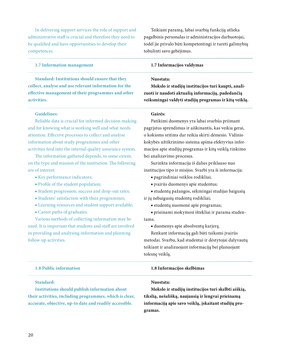In delivering support services the role of support and administrative staff is crucial and therefore they need to be qualified and have opportunities to develop their competences.

#### **1.7 Information management**

**Standard: Institutions should ensure that they collect, analyse and use relevant information for the effective management of their programmes and other activities.**

#### **Guidelines:**

Reliable data is crucial for informed decision-making and for knowing what is working well and what needs attention. Effective processes to collect and analyse information about study programmes and other activities feed into the internal quality assurance system.

The information gathered depends, to some extent, on the type and mission of the institution. The following are of interest:

- Key performance indicators;
- Profile of the student population;
- Student progression, success and drop-out rates;
- Students' satisfaction with their programmes;
- Learning resources and student support available;
- Career paths of graduates.

Various methods of collecting information may be used. It is important that students and staff are involved in providing and analysing information and planning follow-up activities.

Teikiant paramą, labai svarbią funkciją atlieka pagalbinis personalas ir administracijos darbuotojai, todėl jie privalo būti kompetentingi ir turėti galimybių tobulinti savo gebėjimus.

#### **1.7 Informacijos valdymas**

#### **Nuostata:**

**Mokslo ir studijų institucijos turi kaupti, analizuoti ir naudoti aktualią informaciją, padedančią veiksmingai valdyti studijų programas ir kitą veiklą.**

#### **Gairės:**

Patikimi duomenys yra labai svarbūs priimant pagrįstus sprendimus ir aiškinantis, kas veikia gerai, o kokioms sritims dar reikia skirti dėmesio. Vidinio kokybės užtikrinimo sistema apima efektyvius informacijos apie studijų programas ir kitą veiklą rinkimo bei analizavimo procesus.

Surinkta informacija iš dalies priklauso nuo institucijos tipo ir misijos. Svarbi yra ši informacija:

**■** pagrindiniai veiklos rodikliai;

**■** įvairūs duomenys apie studentus;

**■** studentų pažangos, sėkmingai studijas baigusių ir jų nebaigusių studentų rodikliai;

**■** studentų nuomonė apie programas;

**■** prieinami mokymosi ištekliai ir parama studentams;

**■** duomenys apie absolventų karjerą.

Renkant informaciją gali būti taikomi įvairūs metodai. Svarbu, kad studentai ir dėstytojai dalyvautų teikiant ir analizuojant informaciją bei planuojant tolesnę veiklą.

| 1.8 Public information                                  | 1.8 Informacijos skelbimas                           |
|---------------------------------------------------------|------------------------------------------------------|
| Standard:                                               | Nuostata:                                            |
| Institutions should publish information about           | Mokslo ir studijų institucijos turi skelbti aiškią,  |
| their activities, including programmes, which is clear, | tikslią, nešališką, naujausią ir lengvai prieinamą   |
| accurate, objective, up-to date and readily accessible. | informacija apie savo veikla, iskaitant studiju pro- |
|                                                         | gramas.                                              |
|                                                         |                                                      |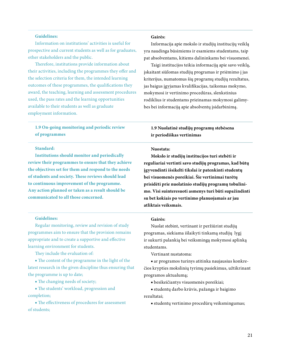#### **Guidelines:**

Information on institutions' activities is useful for prospective and current students as well as for graduates, other stakeholders and the public.

Therefore, institutions provide information about their activities, including the programmes they offer and the selection criteria for them, the intended learning outcomes of these programmes, the qualifications they award, the teaching, learning and assessment procedures used, the pass rates and the learning opportunities available to their students as well as graduate employment information.

**1.9 On-going monitoring and periodic review of programmes**

#### **Standard:**

**Institutions should monitor and periodically review their programmes to ensure that they achieve the objectives set for them and respond to the needs of students and society. These reviews should lead to continuous improvement of the programme. Any action planned or taken as a result should be communicated to all those concerned.**

#### **Guidelines:**

Regular monitoring, review and revision of study programmes aim to ensure that the provision remains appropriate and to create a supportive and effective learning environment for students.

They include the evaluation of:

■ The content of the programme in the light of the latest research in the given discipline thus ensuring that the programme is up to date;

■ The changing needs of society;

■ The students' workload, progression and completion;

■ The effectiveness of procedures for assessment of students;

#### **Gairės:**

Informacija apie mokslo ir studijų institucijų veiklą yra naudinga būsimiems ir esamiems studentams, taip pat absolventams, kitiems dalininkams bei visuomenei.

Taigi institucijos teikia informaciją apie savo veiklą, įskaitant siūlomas studijų programas ir priėmimo į jas kriterijus, numatomus šių programų studijų rezultatus, jas baigus įgyjamas kvalifikacijas, taikomas mokymo, mokymosi ir vertinimo procedūras, slenkstinius rodiklius ir studentams prieinamas mokymosi galimybes bei informaciją apie absolventų įsidarbinimą.

### **1.9 Nuolatinė studijų programų stebėsena ir periodiškas vertinimas**

#### **Nuostata:**

**Mokslo ir studijų institucijos turi stebėti ir reguliariai vertinti savo studijų programas, kad būtų įgyvendinti išsikelti tikslai ir patenkinti studentų bei visuomenės poreikiai. Šie vertinimai turėtų prisidėti prie nuolatinio studijų programų tobulinimo. Visi suinteresuoti asmenys turi būti supažindinti su bet kokiais po vertinimo planuojamais ar jau atliktais veiksmais.**

#### **Gairės:**

Nuolat stebint, vertinant ir peržiūrint studijų programas, siekiama išlaikyti tinkamą studijų lygį ir sukurti palankią bei veiksmingą mokymosi aplinką studentams.

Vertinant nustatoma:

**■** ar programos turinys atitinka naujausius konkrečios krypties mokslinių tyrimų pasiekimus, užtikrinant programos aktualumą;

**■** besikeičiantys visuomenės poreikiai;

**■** studentų darbo krūvis, pažanga ir baigimo rezultatai;

**■** studentų vertinimo procedūrų veiksmingumas;

#### 21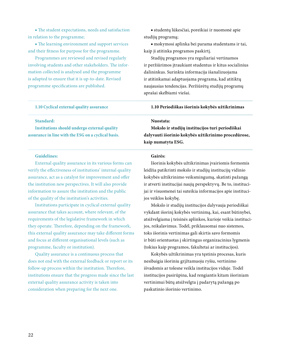■ The student expectations, needs and satisfaction in relation to the programme;

■ The learning environment and support services and their fitness for purpose for the programme.

Programmes are reviewed and revised regularly involving students and other stakeholders. The information collected is analysed and the programme is adapted to ensure that it is up-to-date. Revised programme specifications are published.

#### **1.10 Cyclical external quality assurance**

#### **Standard:**

**Institutions should undergo external quality assurance in line with the ESG on a cyclical basis.**

#### **Guidelines:**

External quality assurance in its various forms can verify the effectiveness of institutions' internal quality assurance, act as a catalyst for improvement and offer the institution new perspectives. It will also provide information to assure the institution and the public of the quality of the institution's activities.

Institutions participate in cyclical external quality assurance that takes account, where relevant, of the requirements of the legislative framework in which they operate. Therefore, depending on the framework, this external quality assurance may take different forms and focus at different organisational levels (such as programme, faculty or institution).

Quality assurance is a continuous process that does not end with the external feedback or report or its follow-up process within the institution. Therefore, institutions ensure that the progress made since the last external quality assurance activity is taken into consideration when preparing for the next one.

**■** studentų lūkesčiai, poreikiai ir nuomonė apie studijų programą;

**■** mokymosi aplinka bei parama studentams ir tai, kaip ji atitinka programos paskirtį.

Studijų programos yra reguliariai vertinamos ir peržiūrimos įtraukiant studentus ir kitus socialinius dalininkus. Surinkta informacija išanalizuojama ir atitinkamai adaptuojama programa, kad atitiktų naujausias tendencijas. Peržiūrėtų studijų programų aprašai skelbiami viešai.

#### **1.10 Periodiškas išorinis kokybės užtikrinimas**

#### **Nuostata:**

**Mokslo ir studijų institucijos turi periodiškai dalyvauti išorinio kokybės užtikrinimo procedūrose, kaip numatyta ESG.**

#### **Gairės:**

Išorinis kokybės užtikrinimas įvairiomis formomis leidžia patikrinti mokslo ir studijų institucijų vidinio kokybės užtikrinimo veiksmingumą, skatinti pažangą ir atverti institucijai naujų perspektyvų. Be to, institucijai ir visuomenei tai suteikia informacijos apie institucijos veiklos kokybę.

Mokslo ir studijų institucijos dalyvauja periodiškai vykdant išorinį kokybės vertinimą, kai, esant būtinybei, atsižvelgiama į teisinės aplinkos, kurioje veikia institucijos, reikalavimus. Todėl, priklausomai nuo sistemos, toks išorinis vertinimas gali skirtis savo formomis ir būti orientuotas į skirtingus organizacinius lygmenis (tokius kaip programos, fakultetai ar institucijos).

Kokybės užtikrinimas yra tęstinis procesas, kuris nesibaigia išoriniu grįžtamuoju ryšiu, vertinimo išvadomis ar tolesne veikla institucijos viduje. Todėl institucijos pasirūpina, kad rengiantis kitam išoriniam vertinimui būtų atsižvelgta į padarytą pažangą po paskutinio išorinio vertinimo.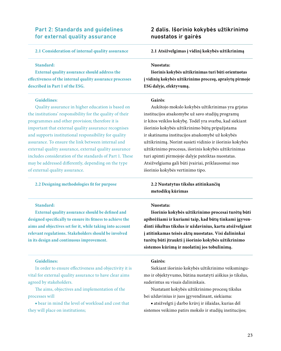### Part 2: Standards and guidelines for external quality assurance

#### **2.1 Consideration of internal quality assurance**

#### **Standard:**

**External quality assurance should address the effectiveness of the internal quality assurance processes described in Part 1 of the ESG.** 

#### **Guidelines**:

Quality assurance in higher education is based on the institutions' responsibility for the quality of their programmes and other provision; therefore it is important that external quality assurance recognises and supports institutional responsibility for quality assurance. To ensure the link between internal and external quality assurance, external quality assurance includes consideration of the standards of Part 1. These may be addressed differently, depending on the type of external quality assurance.

#### **2.2 Designing methodologies fit for purpose**

#### **Standard:**

**External quality assurance should be defined and designed specifically to ensure its fitness to achieve the aims and objectives set for it, while taking into account relevant regulations. Stakeholders should be involved in its design and continuous improvement.**

#### **Guidelines:**

In order to ensure effectiveness and objectivity it is vital for external quality assurance to have clear aims agreed by stakeholders.

The aims, objectives and implementation of the processes will

■ bear in mind the level of workload and cost that they will place on institutions;

### 2 dalis. Išorinio kokybės užtikrinimo nuostatos ir gairės

**2.1 Atsižvelgimas į vidinį kokybės užtikrinimą**

#### **Nuostata:**

**Išorinis kokybės užtikrinimas turi būti orientuotas į vidinių kokybės užtikrinimo procesų, aprašytų pirmoje ESG dalyje, efektyvumą.**

#### **Gairės**:

Aukštojo mokslo kokybės užtikrinimas yra grįstas institucijos atsakomybe už savo studijų programų ir kitos veiklos kokybę. Todėl yra svarbu, kad siekiant išorinio kokybės užtikrinimo būtų pripažįstama ir skatinama institucijos atsakomybė už kokybės užtikrinimą. Norint susieti vidinio ir išorinio kokybės užtikrinimo procesus, išorinis kokybės užtikrinimas turi apimti pirmojoje dalyje pateiktas nuostatas. Atsižvelgiama gali būti įvairiai, priklausomai nuo išorinio kokybės vertinimo tipo.

### **2.2 Nustatytus tikslus atitinkančių metodikų kūrimas**

#### **Nuostata:**

**Išorinio kokybės užtikrinimo procesai turėtų būti apibrėžiami ir kuriami taip, kad būtų tinkami įgyvendinti iškeltus tikslus ir uždavinius, kartu atsižvelgiant į atitinkamas teisės aktų nuostatas. Visi dalininkai turėtų būti įtraukti į išorinio kokybės užtikrinimo sistemos kūrimą ir nuolatinį jos tobulinimą.**

### **Gairės:**

Siekiant išorinio kokybės užtikrinimo veiksmingumo ir objektyvumo, būtina nustatyti aiškius jo tikslus, suderintus su visais dalininkais.

Nustatant kokybės užtikrinimo procesų tikslus bei uždavinius ir juos įgyvendinant, siekiama:

**■** atsižvelgti į darbo krūvį ir išlaidas, kurias dėl sistemos veikimo patirs mokslo ir studijų institucijos;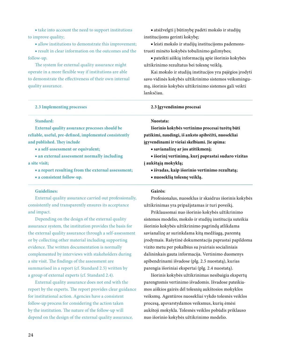■ take into account the need to support institutions to improve quality;

■ allow institutions to demonstrate this improvement;

■ result in clear information on the outcomes and the follow-up.

The system for external quality assurance might operate in a more flexible way if institutions are able to demonstrate the effectiveness of their own internal quality assurance.

#### **2.3 Implementing processes**

**■** atsižvelgti į būtinybę padėti mokslo ir studijų institucijoms gerinti kokybę;

**■** leisti mokslo ir studijų institucijoms pademonstruoti minėto kokybės tobulinimo galimybes;

**■** pateikti aiškią informaciją apie išorinio kokybės užtikrinimo rezultatus bei tolesnę veiklą.

Kai mokslo ir studijų institucijos yra pajėgios įrodyti savo vidinės kokybės užtikrinimo sistemos veiksmingumą, išorinio kokybės užtikrinimo sistemos gali veikti lanksčiau.

#### **2.3 Įgyvendinimo procesai**

#### **Standard:**

**External quality assurance processes should be reliable, useful, pre-defined, implemented consistently and published. They include**

■ **a self-assessment or equivalent;**

■ **an external assessment normally including a site visit;**

■ **a report resulting from the external assessment;**

■ **a consistent follow-up.**

#### **Guidelines:**

External quality assurance carried out professionally, consistently and transparently ensures its acceptance and impact.

Depending on the design of the external quality assurance system, the institution provides the basis for the external quality assurance through a self-assessment or by collecting other material including supporting evidence. The written documentation is normally complemented by interviews with stakeholders during a site visit. The findings of the assessment are summarised in a report (cf. Standard 2.5) written by a group of external experts (cf. Standard 2.4).

External quality assurance does not end with the report by the experts. The report provides clear guidance for institutional action. Agencies have a consistent follow-up process for considering the action taken by the institution. The nature of the follow-up will depend on the design of the external quality assurance.

#### **Nuostata:**

**Išorinio kokybės vertinimo procesai turėtų būti patikimi, naudingi, iš anksto apibrėžti, nuosekliai įgyvendinami ir viešai skelbiami. Jie apima:**

**■ savianalizę ar jos atitikmenį;**

**■ išorinį vertinimą, kurį paprastai sudaro vizitas į aukštąją mokyklą;**

- **išvadas, kaip išorinio vertinimo rezultatą;**
- **nuoseklią tolesnę veiklą.**

#### **Gairės:**

Profesionalus, nuoseklus ir skaidrus išorinis kokybės užtikrinimas yra pripažįstamas ir turi poveikį.

Priklausomai nuo išorinio kokybės užtikrinimo sistemos modelio, mokslo ir studijų institucija suteikia išorinio kokybės užtikrinimo pagrindą atlikdama savianalizę ar surinkdama kitą medžiagą, paremtą įrodymais. Rašytinė dokumentacija paprastai papildoma vizito metu per pokalbius su įvairiais socialiniais dalininkais gauta informacija. Vertinimo duomenys apibendrinami išvadose (plg. 2.5 nuostatą), kurias parengia išoriniai ekspertai (plg. 2.4 nuostatą).

Išorinis kokybės užtikrinimas nesibaigia ekspertų parengtomis vertinimo išvadomis. Išvadose pateikiamos aiškios gairės dėl tolesnių aukštosios mokyklos veiksmų. Agentūros nuosekliai vykdo tolesnės veiklos procesą, apsvarstydamos veiksmus, kurių ėmėsi aukštoji mokykla. Tolesnės veiklos pobūdis priklauso nuo išorinio kokybės užtikrinimo modelio.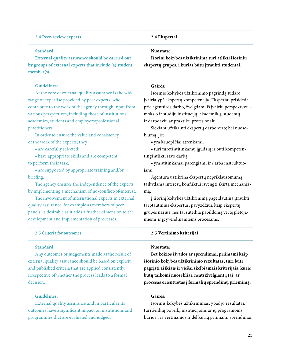#### **2.4 Peer-review experts**

### **Standard:**

**External quality assurance should be carried out by groups of external experts that include (a) student member(s).**

#### **Guidelines:**

At the core of external quality assurance is the wide range of expertise provided by peer experts, who contribute to the work of the agency through input from various perspectives, including those of institutions, academics, students and employers/professional practitioners.

In order to ensure the value and consistency of the work of the experts, they

■ are carefully selected;

■ have appropriate skills and are competent to perform their task;

■ are supported by appropriate training and/or briefing.

The agency ensures the independence of the experts by implementing a mechanism of no-conflict-of-interest.

The involvement of international experts in external quality assurance, for example as members of peer panels, is desirable as it adds a further dimension to the development and implementation of processes.

#### **2.5 Criteria for outcomes**

#### **Standard:**

Any outcomes or judgements made as the result of external quality assurance should be based on explicit and published criteria that are applied consistently, irrespective of whether the process leads to a formal decision.

#### **Guidelines:**

External quality assurance and in particular its outcomes have a significant impact on institutions and programmes that are evaluated and judged.

#### **2.4 Ekspertai**

#### **Nuostata:**

**Išorinį kokybės užtikrinimą turi atlikti išorinių ekspertų grupės, į kurias būtų įtraukti studentai.**

#### **Gairės:**

Išorinio kokybės užtikrinimo pagrindą sudaro įvairialypė ekspertų kompetencija. Ekspertai prisideda prie agentūros darbo, žvelgdami iš įvairių perspektyvų – mokslo ir studijų institucijų, akademikų, studentų ir darbdavių ar praktikų profesionalų.

Siekiant užtikrinti ekspertų darbo vertę bei nuoseklumą, jie:

**■** yra kruopščiai atrenkami;

**■** turi turėti atitinkamų įgūdžių ir būti kompetentingi atlikti savo darbą;

**■** yra atitinkamai parengiami ir / arba instruktuojami.

Agentūra užtikrina ekspertų nepriklausomumą, taikydama interesų konfliktui išvengti skirtą mechanizmą.

Į išorinį kokybės užtikrinimą pageidautina įtraukti tarptautinius ekspertus, pavyzdžiui, kaip ekspertų grupės narius, nes tai suteikia papildomą vertę plėtojamiems ir įgyvendinamiems procesams.

#### **2.5 Vertinimo kriterijai**

#### **Nuostata:**

**Bet kokios išvados ar sprendimai, priimami kaip išorinio kokybės užtikrinimo rezultatas, turi būti pagrįsti aiškiais ir viešai skelbiamais kriterijais, kurie būtų taikomi nuosekliai, neatsižvelgiant į tai, ar procesas orientuotas į formalių sprendimų priėmimą.**

#### **Gairės:**

Išorinis kokybės užtikrinimas, ypač jo rezultatai, turi ženklų poveikį institucijoms ar jų programoms, kurios yra vertinamos ir dėl kurių priimami sprendimai.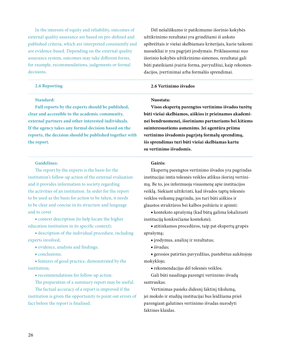In the interests of equity and reliability, outcomes of external quality assurance are based on pre-defined and published criteria, which are interpreted consistently and are evidence-based. Depending on the external quality assurance system, outcomes may take different forms, for example, recommendations, judgements or formal decisions.

#### **2.6 Reporting**

#### **Standard:**

**Full reports by the experts should be published, clear and accessible to the academic community, external partners and other interested individuals. If the agency takes any formal decision based on the reports, the decision should be published together with the report.**

#### **Guidelines:**

The report by the experts is the basis for the institution's follow-up action of the external evaluation and it provides information to society regarding the activities of an institution. In order for the report to be used as the basis for action to be taken, it needs to be clear and concise in its structure and language and to cover

■ context description (to help locate the higher education institution in its specific context);

■ description of the individual procedure, including experts involved;

- evidence, analysis and findings;
- conclusions;

■ features of good practice, demonstrated by the institution;

■ recommendations for follow-up action.

The preparation of a summary report may be useful.

The factual accuracy of a report is improved if the institution is given the opportunity to point out errors of fact before the report is finalised.

Dėl nešališkumo ir patikimumo išorinio kokybės užtikrinimo rezultatai yra grindžiami iš anksto apibrėžtais ir viešai skelbiamais kriterijais, kurie taikomi nuosekliai ir yra pagrįsti įrodymais. Priklausomai nuo išorinio kokybės užtikrinimo sistemos, rezultatai gali būti pateikiami įvairia forma, pavyzdžiui, kaip rekomendacijos, įvertinimai arba formalūs sprendimai.

#### **2.6 Vertinimo išvados**

#### **Nuostata:**

**Visos ekspertų parengtos vertinimo išvados turėtų būti viešai skelbiamos, aiškios ir prieinamos akademinei bendruomenei, išoriniams partneriams bei kitiems suinteresuotiems asmenims. Jei agentūra priima vertinimo išvadomis pagrįstą formalų sprendimą, šis sprendimas turi būti viešai skelbiamas kartu su vertinimo išvadomis.**

#### **Gairės:**

Ekspertų parengtos vertinimo išvados yra pagrindas institucijai imtis tolesnės veiklos atlikus išorinį vertinimą. Be to, jos informuoja visuomenę apie institucijos veiklą. Siekiant užtikrinti, kad išvados taptų tolesnės veiklos veiksmų pagrindu, jos turi būti aiškios ir glaustos struktūros bei kalbos požiūriu ir apimti:

**■** konteksto aprašymą (kad būtų galima lokalizuoti instituciją konkrečiame kontekste);

**■** atitinkamos procedūros, taip pat ekspertų grupės aprašymą;

- įrodymus, analizę ir rezultatus;
- išvadas;

**■** gerosios patirties pavyzdžius, pastebėtus aukštojoje mokykloje;

**■** rekomendacijas dėl tolesnės veiklos.

Gali būti naudinga parengti vertinimo išvadų santraukas.

Vertinimas pasieks didesnį faktinį tikslumą, jei mokslo ir studijų institucijai bus leidžiama prieš parengiant galutines vertinimo išvadas nurodyti faktines klaidas.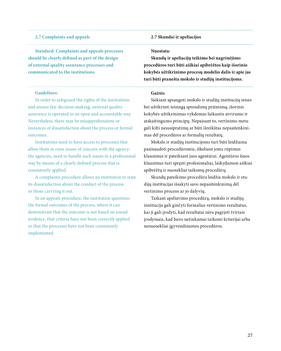### **2.7 Complaints and appeals**

**Standard: Complaints and appeals processes should be clearly defined as part of the design of external quality assurance processes and communicated to the institutions.**

#### **Guidelines:**

In order to safeguard the rights of the institutions and ensure fair decision-making, external quality assurance is operated in an open and accountable way. Nevertheless, there may be misapprehensions or instances of dissatisfaction about the process or formal outcomes.

Institutions need to have access to processes that allow them to raise issues of concern with the agency; the agencies, need to handle such issues in a professional way by means of a clearly defined process that is consistently applied.

A complaints procedure allows an institution to state its dissatisfaction about the conduct of the process or those carrying it out.

In an appeals procedure, the institution questions the formal outcomes of the process, where it can demonstrate that the outcome is not based on sound evidence, that criteria have not been correctly applied or that the processes have not been consistently implemented.

#### **2.7 Skundai ir apeliacijos**

#### **Nuostata:**

**Skundų ir apeliacijų teikimo bei nagrinėjimo procedūros turi būti aiškiai apibrėžtos kaip išorinio kokybės užtikrinimo procesų modelio dalis ir apie jas turi būti pranešta mokslo ir studijų institucijoms.**

#### **Gairės:**

Siekiant apsaugoti mokslo ir studijų institucijų teises bei užtikrinti teisingą sprendimų priėmimą, išorinis kokybės užtikrinimas vykdomas laikantis atvirumo ir atskaitingumo principų. Nepaisant to, vertinimo metu gali kilti nesusipratimų ar būti išreikštas nepasitenkinimas dėl procedūros ar formalių rezultatų.

Mokslo ir studijų institucijoms turi būti leidžiama pasinaudoti procedūromis, iškeliant joms rūpimus klausimus ir pateikiant juos agentūrai. Agentūros šiuos klausimus turi spręsti profesionaliai, laikydamosi aiškiai apibrėžtų ir nuosekliai taikomų procedūrų.

Skundų pateikimo procedūra leidžia mokslo ir studijų institucijai išsakyti savo nepasitenkinimą dėl vertinimo proceso ar jo dalyvių.

Taikant apeliavimo procedūrą, mokslo ir studijų institucija gali ginčyti formalius vertinimo rezultatus, kai ji gali įrodyti, kad rezultatai nėra pagrįsti tvirtais įrodymais, kad buvo netinkamai taikomi kriterijai arba nenuosekliai įgyvendinamos procedūros.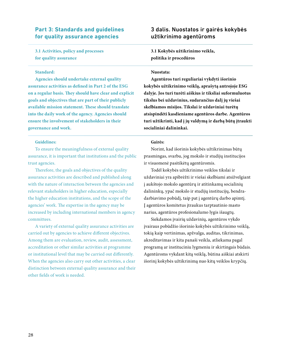### **Part 3: Standards and guidelines for quality assurance agencies**

**3.1 Activities, policy and processes for quality assurance**

#### **Standard:**

**Agencies should undertake external quality assurance activities as defined in Part 2 of the ESG on a regular basis. They should have clear and explicit goals and objectives that are part of their publicly available mission statement. These should translate into the daily work of the agency. Agencies should ensure the involvement of stakeholders in their governance and work.**

#### **Guidelines:**

To ensure the meaningfulness of external quality assurance, it is important that institutions and the public trust agencies.

Therefore, the goals and objectives of the quality assurance activities are described and published along with the nature of interaction between the agencies and relevant stakeholders in higher education, especially the higher education institutions, and the scope of the agencies' work. The expertise in the agency may be increased by including international members in agency committees.

A variety of external quality assurance activities are carried out by agencies to achieve different objectives. Among them are evaluation, review, audit, assessment, accreditation or other similar activities at programme or institutional level that may be carried out differently. When the agencies also carry out other activities, a clear distinction between external quality assurance and their other fields of work is needed.

### 3 dalis. Nuostatos ir gairės kokybės užtikrinimo agentūroms

**3.1 Kokybės užtikrinimo veikla, politika ir procedūros** 

#### **Nuostata:**

**Agentūros turi reguliariai vykdyti išorinio kokybės užtikrinimo veiklą, aprašytą antrojoje ESG dalyje. Jos turi turėti aiškius ir tiksliai suformuluotus tikslus bei uždavinius, sudarančius dalį jų viešai skelbiamos misijos. Tikslai ir uždaviniai turėtų atsispindėti kasdieniame agentūros darbe. Agentūros turi užtikrinti, kad į jų valdymą ir darbą būtų įtraukti socialiniai dalininkai.**

#### **Gairės:**

Norint, kad išorinis kokybės užtikrinimas būtų prasmingas, svarbu, jog mokslo ir studijų institucijos ir visuomenė pasitikėtų agentūromis.

Todėl kokybės užtikrinimo veiklos tikslai ir uždaviniai yra apibrėžti ir viešai skelbiami atsižvelgiant į aukštojo mokslo agentūrų ir atitinkamų socialinių dalininkų, ypač mokslo ir studijų institucijų, bendradarbiavimo pobūdį, taip pat į agentūrų darbo apimtį. Į agentūros komitetus įtraukus tarptautinio masto narius, agentūros profesionalumo lygis išaugtų.

Siekdamos įvairių uždavinių, agentūros vykdo įvairaus pobūdžio išorinio kokybės užtikrinimo veiklą, tokią kaip vertinimas, apžvalga, auditas, tikrinimas, akreditavimas ir kita panaši veikla, atliekama pagal programą ar instituciniu lygmeniu ir skirtingais būdais. Agentūroms vykdant kitą veiklą, būtina aiškiai atskirti išorinį kokybės užtikrinimą nuo kitų veiklos krypčių.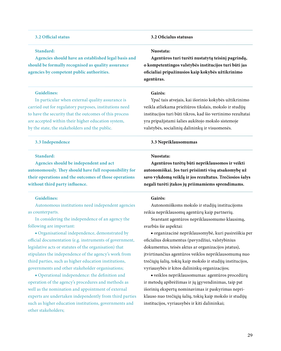#### **3.2 Official status**

#### **Standard:**

**Agencies should have an established legal basis and should be formally recognised as quality assurance agencies by competent public authorities.**

#### **Guidelines:**

In particular when external quality assurance is carried out for regulatory purposes, institutions need to have the security that the outcomes of this process are accepted within their higher education system, by the state, the stakeholders and the public.

#### **3.3 Independence**

#### **Standard:**

**Agencies should be independent and act autonomously. They should have full responsibility for their operations and the outcomes of those operations without third party influence.**

#### **Guidelines:**

Autonomous institutions need independent agencies as counterparts.

In considering the independence of an agency the following are important:

■ Organisational independence, demonstrated by official documentation (e.g. instruments of government, legislative acts or statutes of the organisation) that stipulates the independence of the agency's work from third parties, such as higher education institutions, governments and other stakeholder organisations;

■ Operational independence: the definition and operation of the agency's procedures and methods as well as the nomination and appointment of external experts are undertaken independently from third parties such as higher education institutions, governments and other stakeholders;

#### **3.2 Oficialus statusas**

#### **Nuostata:**

**Agentūros turi turėti nustatytą teisinį pagrindą, o kompetentingos valstybės institucijos turi būti jas oficialiai pripažinusios kaip kokybės užtikrinimo agentūras.**

#### **Gairės:**

Ypač tais atvejais, kai išorinio kokybės užtikrinimo veikla atliekama priežiūros tikslais, mokslo ir studijų institucijos turi būti tikros, kad šio vertinimo rezultatai yra pripažįstami šalies aukštojo mokslo sistemoje valstybės, socialinių dalininkų ir visuomenės.

#### **3.3 Nepriklausomumas**

#### **Nuostata:**

**Agentūros turėtų būti nepriklausomos ir veikti autonomiškai. Jos turi prisiimti visą atsakomybę už savo vykdomą veiklą ir jos rezultatus. Trečiosios šalys negali turėti įtakos jų priimamiems sprendimams.**

#### **Gairės:**

Autonomiškoms mokslo ir studijų institucijoms reikia nepriklausomų agentūrų kaip partnerių.

Svarstant agentūros nepriklausomumo klausimą, svarbūs šie aspektai:

**■** organizacinė nepriklausomybė, kuri pasireiškia per oficialius dokumentus (pavyzdžiui, valstybinius dokumentus, teisės aktus ar organizacijos įstatus), įtvirtinančius agentūros veiklos nepriklausomumą nuo trečiųjų šalių, tokių kaip mokslo ir studijų institucijos, vyriausybės ir kitos dalininkų organizacijos;

**■** veiklos nepriklausomumas: agentūros procedūrų ir metodų apibrėžimas ir jų įgyvendinimas, taip pat išorinių ekspertų nominavimas ir paskyrimas nepriklauso nuo trečiųjų šalių, tokių kaip mokslo ir studijų institucijos, vyriausybės ir kiti dalininkai;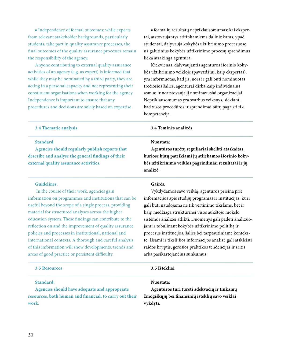■ Independence of formal outcomes: while experts from relevant stakeholder backgrounds, particularly students, take part in quality assurance processes, the final outcomes of the quality assurance processes remain the responsibility of the agency.

Anyone contributing to external quality assurance activities of an agency (e.g. as expert) is informed that while they may be nominated by a third party, they are acting in a personal capacity and not representing their constituent organisations when working for the agency. Independence is important to ensure that any procedures and decisions are solely based on expertise.

**■** formalių rezultatų nepriklausomumas: kai ekspertai, atstovaujantys atitinkamiems dalininkams, ypač studentai, dalyvauja kokybės užtikrinimo procesuose, už galutinius kokybės užtikrinimo procesų sprendimus lieka atsakinga agentūra.

Kiekvienas, dalyvaujantis agentūros išorinio kokybės užtikrinimo veikloje (pavyzdžiui, kaip ekspertas), yra informuotas, kad jis, nors ir gali būti nominuotas trečiosios šalies, agentūrai dirba kaip individualus asmuo ir neatstovauja jį nominavusiai organizacijai. Nepriklausomumas yra svarbus veiksnys, siekiant, kad visos procedūros ir sprendimai būtų pagrįsti tik kompetencija.

**Agentūros turėtų reguliariai skelbti ataskaitas, kuriose būtų pateikiami jų atliekamos išorinio kokybės užtikrinimo veiklos pagrindiniai rezultatai ir jų** 

#### **3.4 Thematic analysis**

#### **Standard**:

**Agencies should regularly publish reports that describe and analyse the general findings of their external quality assurance activities.**

#### **Guidelines**:

 In the course of their work, agencies gain information on programmes and institutions that can be useful beyond the scope of a single process, providing material for structured analyses across the higher education system. These findings can contribute to the reflection on and the improvement of quality assurance policies and processes in institutional, national and international contexts. A thorough and careful analysis of this information will show developments, trends and areas of good practice or persistent difficulty.

#### **Gairės**:

**analizė.**

**Nuostata:**

**3.4 Teminės analizės**

Vykdydamos savo veiklą, agentūros prieina prie informacijos apie studijų programas ir institucijas, kuri gali būti naudojama ne tik vertinimo tikslams, bet ir kaip medžiaga struktūrinei visos aukštojo mokslo sistemos analizei atlikti. Duomenys gali padėti analizuojant ir tobulinant kokybės užtikrinimo politiką ir procesus institucijos, šalies bei tarptautiniame kontekste. Išsami ir tiksli šios informacijos analizė gali atskleisti raidos kryptis, gerosios praktikos tendencijas ir sritis arba pasikartojančius sunkumus.

| <b>3.5 Resources</b>                                       | 3.5 Ištekliai                                           |
|------------------------------------------------------------|---------------------------------------------------------|
| Standard:<br>Agencies should have adequate and appropriate | Nuostata:<br>Agentūros turi turėti adekvačių ir tinkamų |
| resources, both human and financial, to carry out their    | žmogiškųjų bei finansinių išteklių savo veiklai         |
| work.                                                      | vykdyti.                                                |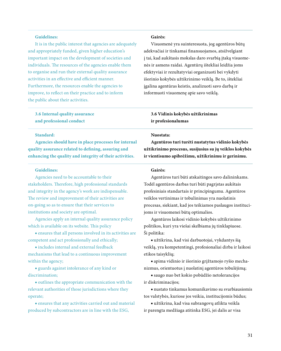#### **Guidelines:**

It is in the public interest that agencies are adequately and appropriately funded, given higher education's important impact on the development of societies and individuals. The resources of the agencies enable them to organise and run their external quality assurance activities in an effective and efficient manner. Furthermore, the resources enable the agencies to improve, to reflect on their practice and to inform the public about their activities.

### **3.6 Internal quality assurance and professional conduct**

### **Standard:**

**Agencies should have in place processes for internal quality assurance related to defining, assuring and enhancing the quality and integrity of their activities.**

#### **Guidelines:**

Agencies need to be accountable to their stakeholders. Therefore, high professional standards and integrity in the agency's work are indispensable. The review and improvement of their activities are on-going so as to ensure that their services to institutions and society are optimal.

Agencies apply an internal quality assurance policy which is available on its website. This policy

■ ensures that all persons involved in its activities are competent and act professionally and ethically;

■ includes internal and external feedback mechanisms that lead to a continuous improvement within the agency;

■ guards against intolerance of any kind or discrimination;

■ outlines the appropriate communication with the relevant authorities of those jurisdictions where they operate;

■ ensures that any activities carried out and material produced by subcontractors are in line with the ESG,

#### **Gairės:**

Visuomenė yra suinteresuota, jog agentūros būtų adekvačiai ir tinkamai finansuojamos, atsižvelgiant į tai, kad aukštasis mokslas daro svarbią įtaką visuomenės ir asmens raidai. Agentūrų ištekliai leidžia joms efektyviai ir rezultatyviai organizuoti bei vykdyti išorinio kokybės užtikrinimo veiklą. Be to, ištekliai įgalina agentūras keistis, analizuoti savo darbą ir informuoti visuomenę apie savo veiklą.

### **3.6 Vidinis kokybės užtikrinimas ir profesionalumas**

#### **Nuostata:**

**Agentūros turi turėti nustatytus vidinio kokybės užtikrinimo procesus, susijusius su jų veiklos kokybės ir vientisumo apibrėžimu, užtikrinimu ir gerinimu.**

#### **Gairės:**

Agentūros turi būti atskaitingos savo dalininkams. Todėl agentūros darbas turi būti pagrįstas aukštais profesiniais standartais ir principingumu. Agentūros veiklos vertinimas ir tobulinimas yra nuolatinis procesas, siekiant, kad jos teikiamos paslaugos institucijoms ir visuomenei būtų optimalios.

Agentūros laikosi vidinio kokybės užtikrinimo politikos, kuri yra viešai skelbiama jų tinklapiuose. Ši politika:

**■** užtikrina, kad visi darbuotojai, vykdantys šią veiklą, yra kompetentingi, profesionaliai dirba ir laikosi etikos taisyklių;

**■** apima vidinio ir išorinio grįžtamojo ryšio mechanizmus, orientuotus į nuolatinį agentūros tobulėjimą;

**■** saugo nuo bet kokio pobūdžio netolerancijos ir diskriminacijos;

**■** nustato tinkamus komunikavimo su svarbiausiomis tos valstybės, kuriose jos veikia, institucijomis būdus;

**■** užtikrina, kad visa subrangovų atlikta veikla ir parengta medžiaga atitinka ESG, jei dalis ar visa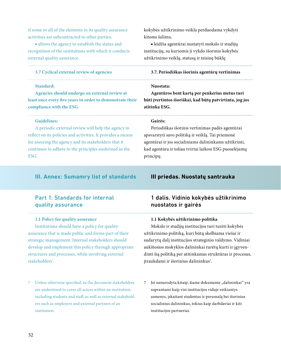if some or all of the elements in its quality assurance activities are subcontracted to other parties;

■ allows the agency to establish the status and recognition of the institutions with which it conducts external quality assurance.

#### **3.7 Cyclical external review of agencies**

#### **Standard:**

**Agencies should undergo an external review at least once every five years in order to demonstrate their compliance with the ESG.**

#### **Guidelines:**

A periodic external review will help the agency to reflect on its policies and activities. It provides a means for assuring the agency and its stakeholders that it continues to adhere to the principles enshrined in the ESG.

### **III. Annex: Sumamry list of standards**

### Part 1: Standards for internal quality assurance

#### **1.1 Policy for quality assurance**

Institutions should have a policy for quality assurance that is made public and forms part of their strategic management. Internal stakeholders should develop and implement this policy through appropriate structures and processes, while involving external stakeholders<sup>7</sup>.

7 Unless otherwise specified, in the document stakeholders are understood to cover all actors within an institution, including students and staff, as well as external stakeholders such as employers and external partners of an institution.

kokybės užtikrinimo veikla perduodama vykdyti kitoms šalims;

**■** leidžia agentūrai nustatyti mokslo ir studijų institucijų, su kuriomis ji vykdo išorinio kokybės užtikrinimo veiklą, statusą ir teisinę būklę.

#### **3.7. Periodiškas išorinis agentūrų vertinimas**

#### **Nuostata:**

**Agentūros bent kartą per penkerius metus turi būti įvertintos išoriškai, kad būtų patvirtinta, jog jos atitinka ESG.**

#### **Gairės:**

Periodiškas išorinis vertinimas padės agentūrai apsvarstyti savo politiką ir veiklą. Tai priemonė agentūrai ir jos socialiniams dalininkams užtikrinti, kad agentūra ir toliau tvirtai laikosi ESG puoselėjamų principų.

### **III priedas. Nuostatų santrauka**

### 1 dalis. Vidinio kokybės užtikrinimo nuostatos ir gairės

#### **1.1 Kokybės užtikrinimo politika**

Mokslo ir studijų institucijos turi turėti kokybės užtikrinimo politiką, kuri būtų skelbiama viešai ir sudarytų dalį institucijos strateginio valdymo. Vidiniai aukštosios mokyklos dalininkai turėtų kurti ir įgyvendinti šią politiką per atitinkamas struktūras ir procesus, įtraukdami ir išorinius dalininkus<sup>7</sup>.

7 Jei nenurodyta kitaip, šiame dokumente "dalininkai" yra suprantami kaip visi institucijos viduje veikiantys asmenys, įskaitant studentus ir personalą bei išorinius socialinius dalininkus, tokius kaip darbdaviai ir kiti institucijos partneriai.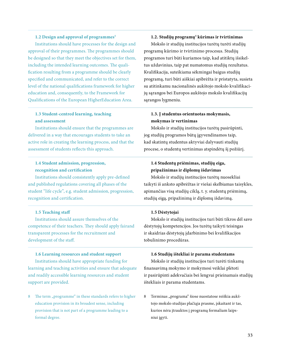#### **1.2 Design and approval of programmes**<sup>8</sup>

Institutions should have processes for the design and approval of their programmes. The programmes should be designed so that they meet the objectives set for them, including the intended learning outcomes. The qualification resulting from a programme should be clearly specified and communicated, and refer to the correct level of the national qualifications framework for higher education and, consequently, to the Framework for Qualifications of the European HigherEducation Area.

### **1.3 Student-centred learning, teaching and assessment**

Institutions should ensure that the programmes are delivered in a way that encourages students to take an active role in creating the learning process, and that the assessment of students reflects this approach.

### **1.4 Student admission, progression, recognition and certification**

Institutions should consistently apply pre-defined and published regulations covering all phases of the student "life cycle", e.g. student admission, progression, recognition and certification.

#### **1.5 Teaching staff**

Institutions should assure themselves of the competence of their teachers. They should apply fairand transparent processes for the recruitment and development of the staff.

#### **1.6 Learning resources and student support**

Institutions should have appropriate funding for learning and teaching activities and ensure that adequate and readily accessible learning resources and student support are provided.

8 The term "programme" in these standards refers to higher education provision in its broadest sense, including provision that is not part of a programme leading to a formal degree.

#### **1.2. Studijų programų**<sup>8</sup>  **kūrimas ir tvirtinimas**

Mokslo ir studijų institucijos turėtų turėti studijų programų kūrimo ir tvirtinimo procesus. Studijų programos turi būti kuriamos taip, kad atitiktų išsikeltus uždavinius, taip pat numatomus studijų rezultatus. Kvalifikacija, suteikiama sėkmingai baigus studijų programą, turi būti aiškiai apibrėžta ir pristatyta, susieta su atitinkamu nacionalinės aukštojo mokslo kvalifikacijų sąrangos bei Europos aukštojo mokslo kvalifikacijų sąrangos lygmeniu.

### **1.3. Į studentus orientuotas mokymasis, mokymas ir vertinimas**

Mokslo ir studijų institucijos turėtų pasirūpinti, jog studijų programos būtų įgyvendinamos taip, kad skatintų studentus aktyviai dalyvauti studijų procese, o studentų vertinimas atspindėtų šį požiūrį.

### **1.4 Studentų priėmimas, studijų eiga, pripažinimas ir diplomų išdavimas**

Mokslo ir studijų institucijos turėtų nuosekliai taikyti iš anksto apibrėžtas ir viešai skelbiamas taisykles, apimančias visą studijų ciklą, t. y. studentų priėmimą, studijų eigą, pripažinimą ir diplomų išdavimą.

#### **1.5 Dėstytojai**

Mokslo ir studijų institucijos turi būti tikros dėl savo dėstytojų kompetencijos. Jos turėtų taikyti teisingas ir skaidrias dėstytojų įdarbinimo bei kvalifikacijos tobulinimo procedūras.

#### **1.6 Studijų ištekliai ir parama studentams**

Mokslo ir studijų institucijos turi turėti tinkamą finansavimą mokymo ir mokymosi veiklai plėtoti ir pasirūpinti adekvačiais bei lengvai prieinamais studijų ištekliais ir parama studentams.

8 Terminas "programa" šiose nuostatose reiškia aukštojo mokslo studijas plačiąja prasme, įskaitant ir tas, kurios nėra įtrauktos į programą formaliam laipsniui įgyti.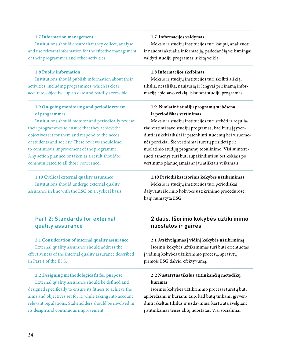#### **1.7 Information management**

Institutions should ensure that they collect, analyse and use relevant information for the effective management of their programmes and other activities.

#### **1.8 Public information**

Institutions should publish information about their activities, including programmes, which is clear, accurate, objective, up-to date and readily accessible.

### **1.9 On-going monitoring and periodic review of programmes**

Institutions should monitor and periodically review their programmes to ensure that they achievethe objectives set for them and respond to the needs of students and society. These reviews shouldlead to continuous improvement of the programme. Any action planned or taken as a result shouldbe communicated to all those concerned.

### **1.10 Cyclical external quality assurance**

Institutions should undergo external quality assurance in line with the ESG on a cyclical basis.

## Part 2: Standards for external quality assurance

#### **2.1 Consideration of internal quality assurance**

External quality assurance should address the effectiveness of the internal quality assurance described in Part 1 of the ESG.

#### **2.2 Designing methodologies fit for purpose**

External quality assurance should be defined and designed specifically to ensure its fitness to achieve the aims and objectives set for it, while taking into account relevant regulations. Stakeholders should be involved in its design and continuous improvement.

#### **1.7. Informacijos valdymas**

Mokslo ir studijų institucijos turi kaupti, analizuoti ir naudoti aktualią informaciją, padedančią veiksmingai valdyti studijų programas ir kitą veiklą.

#### **1.8 Informacijos skelbimas**

Mokslo ir studijų institucijos turi skelbti aiškią, tikslią, nešališką, naujausią ir lengvai prieinamą informaciją apie savo veiklą, įskaitant studijų programas.

### **1.9. Nuolatinė studijų programų stebėsena ir periodiškas vertinimas**

Mokslo ir studijų institucijos turi stebėti ir reguliariai vertinti savo studijų programas, kad būtų įgyvendinti išsikelti tikslai ir patenkinti studentų bei visuomenės poreikiai. Šie vertinimai turėtų prisidėti prie nuolatinio studijų programų tobulinimo. Visi suinteresuoti asmenys turi būti supažindinti su bet kokiais po vertinimo planuojamais ar jau atliktais veiksmais.

#### **1.10 Periodiškas išorinis kokybės užtikrinimas**

Mokslo ir studijų institucijos turi periodiškai dalyvauti išorinio kokybės užtikrinimo procedūrose, kaip numatyta ESG.

### 2 dalis. Išorinio kokybės užtikrinimo nuostatos ir gairės

#### **2.1 Atsižvelgimas į vidinį kokybės užtikrinimą**

Išorinis kokybės užtikrinimas turi būti orientuotas į vidinių kokybės užtikrinimo procesų, aprašytų pirmoje ESG dalyje, efektyvumą.

### **2.2 Nustatytus tikslus atitinkančių metodikų kūrimas**

Išorinio kokybės užtikrinimo procesai turėtų būti apibrėžiami ir kuriami taip, kad būtų tinkami įgyvendinti iškeltus tikslus ir uždavinius, kartu atsižvelgiant į atitinkamas teisės aktų nuostatas. Visi socialiniai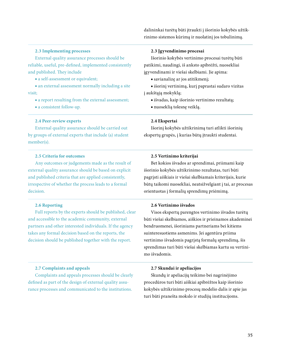dalininkai turėtų būti įtraukti į išorinio kokybės užtikrinimo sistemos kūrimą ir nuolatinį jos tobulinimą.

#### **2.3 Implementing processes**

External quality assurance processes should be reliable, useful, pre-defined, implemented consistently and published. They include

■ a self-assessment or equivalent;

■ an external assessment normally including a site visit;

- a report resulting from the external assessment;
- a consistent follow-up.

#### **2.4 Peer-review experts**

External quality assurance should be carried out by groups of external experts that include (a) student member(s).

#### **2.5 Criteria for outcomes**

Any outcomes or judgements made as the result of external quality assurance should be based on explicit and published criteria that are applied consistently, irrespective of whether the process leads to a formal decision.

#### **2.6 Reporting**

Full reports by the experts should be published, clear and accessible to the academic community, external partners and other interested individuals. If the agency takes any formal decision based on the reports, the decision should be published together with the report.

#### **2.7 Complaints and appeals**

Complaints and appeals processes should be clearly defined as part of the design of external quality assurance processes and communicated to the institutions.

#### **2.3 Įgyvendinimo procesai**

Išorinio kokybės vertinimo procesai turėtų būti patikimi, naudingi, iš anksto apibrėžti, nuosekliai įgyvendinami ir viešai skelbiami. Jie apima:

**■** savianalizę ar jos atitikmenį;

**■** išorinį vertinimą, kurį paprastai sudaro vizitas į aukštąją mokyklą;

- išvadas, kaip išorinio vertinimo rezultatą;
- nuoseklią tolesnę veiklą.

#### **2.4 Ekspertai**

Išorinį kokybės užtikrinimą turi atlikti išorinių ekspertų grupės, į kurias būtų įtraukti studentai.

#### **2.5 Vertinimo kriterijai**

Bet kokios išvados ar sprendimai, priimami kaip išorinio kokybės užtikrinimo rezultatas, turi būti pagrįsti aiškiais ir viešai skelbiamais kriterijais, kurie būtų taikomi nuosekliai, neatsižvelgiant į tai, ar procesas orientuotas į formalių sprendimų priėmimą.

#### **2.6 Vertinimo išvados**

Visos ekspertų parengtos vertinimo išvados turėtų būti viešai skelbiamos, aiškios ir prieinamos akademinei bendruomenei, išoriniams partneriams bei kitiems suinteresuotiems asmenims. Jei agentūra priima vertinimo išvadomis pagrįstą formalų sprendimą, šis sprendimas turi būti viešai skelbiamas kartu su vertinimo išvadomis.

#### **2.7 Skundai ir apeliacijos**

Skundų ir apeliacijų teikimo bei nagrinėjimo procedūros turi būti aiškiai apibrėžtos kaip išorinio kokybės užtikrinimo procesų modelio dalis ir apie jas turi būti pranešta mokslo ir studijų institucijoms.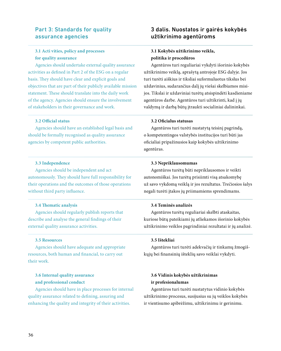### Part 3: Standards for quality assurance agencies

### **3.1 Acti vities, policy and processes for quality assurance**

Agencies should undertake external quality assurance activities as defined in Part 2 of the ESG on a regular basis. They should have clear and explicit goals and objectives that are part of their publicly available mission statement. These should translate into the daily work of the agency. Agencies should ensure the involvement of stakeholders in their governance and work.

#### **3.2 Official status**

Agencies should have an established legal basis and should be formally recognised as quality assurance agencies by competent public authorities.

#### **3.3 Independence**

Agencies should be independent and act autonomously. They should have full responsibility for their operations and the outcomes of those operations without third party influence.

#### **3.4 Thematic analysis**

Agencies should regularly publish reports that describe and analyse the general findings of their external quality assurance activities.

#### **3.5 Resources**

Agencies should have adequate and appropriate resources, both human and financial, to carry out their work.

### **3.6 Internal quality assurance and professional conduct**

Agencies should have in place processes for internal quality assurance related to defining, assuring and enhancing the quality and integrity of their activities.

### 3 dalis. Nuostatos ir gairės kokybės užtikrinimo agentūroms

### **3.1 Kokybės užtikrinimo veikla, politika ir procedūros**

Agentūros turi reguliariai vykdyti išorinio kokybės užtikrinimo veiklą, aprašytą antrojoje ESG dalyje. Jos turi turėti aiškius ir tiksliai suformuluotus tikslus bei uždavinius, sudarančius dalį jų viešai skelbiamos misijos. Tikslai ir uždaviniai turėtų atsispindėti kasdieniame agentūros darbe. Agentūros turi užtikrinti, kad į jų valdymą ir darbą būtų įtraukti socialiniai dalininkai.

#### **3.2 Oficialus statusas**

Agentūros turi turėti nustatytą teisinį pagrindą, o kompetentingos valstybės institucijos turi būti jas oficialiai pripažinusios kaip kokybės užtikrinimo agentūras.

#### **3.3 Nepriklausomumas**

Agentūros turėtų būti nepriklausomos ir veikti autonomiškai. Jos turėtų prisiimti visą atsakomybę už savo vykdomą veiklą ir jos rezultatus. Trečiosios šalys negali turėti įtakos jų priimamiems sprendimams.

#### **3.4 Teminės analizės**

Agentūros turėtų reguliariai skelbti ataskaitas, kuriose būtų pateikiami jų atliekamos išorinio kokybės užtikrinimo veiklos pagrindiniai rezultatai ir jų analizė.

#### **3.5 Ištekliai**

Agentūros turi turėti adekvačių ir tinkamų žmogiškųjų bei finansinių išteklių savo veiklai vykdyti.

### **3.6 Vidinis kokybės užtikrinimas ir profesionalumas**

Agentūros turi turėti nustatytus vidinio kokybės užtikrinimo procesus, susijusius su jų veiklos kokybės ir vientisumo apibrėžimu, užtikrinimu ir gerinimu.